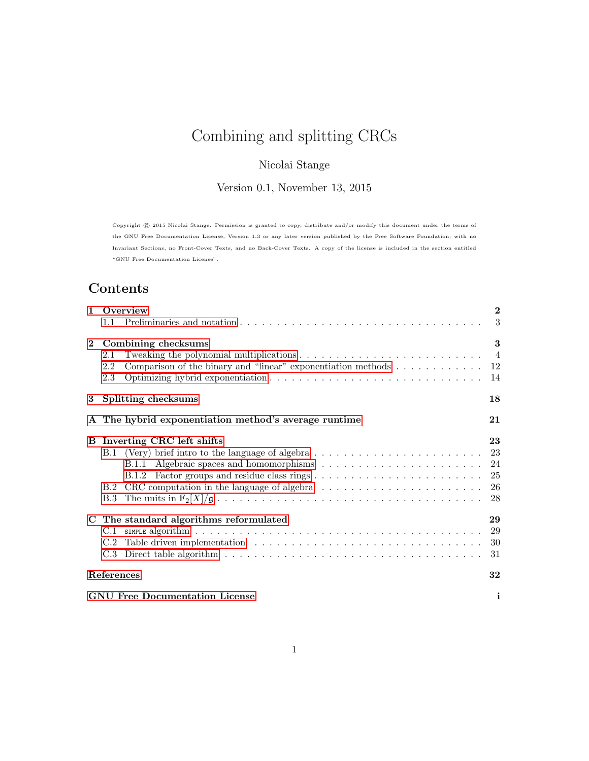# Combining and splitting CRCs

## Nicolai Stange

Version 0.1, November 13, 2015

Copyright © 2015 Nicolai Stange. Permission is granted to copy, distribute and/or modify this document under the terms of the GNU Free Documentation License, Version 1.3 or any later version published by the Free Software Foundation; with no Invariant Sections, no Front-Cover Texts, and no Back-Cover Texts. A copy of the license is included in the section entitled "GNU Free Documentation License".

# Contents

| $\mathbf{1}$ | Overview<br>1.1                                                                               |                |  |  |  |
|--------------|-----------------------------------------------------------------------------------------------|----------------|--|--|--|
|              |                                                                                               | 3              |  |  |  |
| $\mathbf{2}$ | Combining checksums                                                                           | 3              |  |  |  |
|              | 2.1                                                                                           | $\overline{4}$ |  |  |  |
|              | Comparison of the binary and "linear" exponentiation methods $\dots \dots \dots \dots$<br>2.2 | 12             |  |  |  |
|              | 2.3                                                                                           | 14             |  |  |  |
| 3            | Splitting checksums<br>18                                                                     |                |  |  |  |
|              | A The hybrid exponentiation method's average runtime                                          | 21             |  |  |  |
|              | <b>B</b> Inverting CRC left shifts                                                            |                |  |  |  |
|              |                                                                                               | 23             |  |  |  |
|              |                                                                                               | 24             |  |  |  |
|              |                                                                                               | 25             |  |  |  |
|              | B.2 CRC computation in the language of algebra                                                | 26             |  |  |  |
|              |                                                                                               | 28             |  |  |  |
|              |                                                                                               |                |  |  |  |
|              | C The standard algorithms reformulated                                                        | 29             |  |  |  |
|              | C.1                                                                                           | 29             |  |  |  |
|              |                                                                                               | 30             |  |  |  |
|              |                                                                                               | 31             |  |  |  |
|              | References                                                                                    | 32             |  |  |  |
|              | i<br><b>GNU</b> Free Documentation License                                                    |                |  |  |  |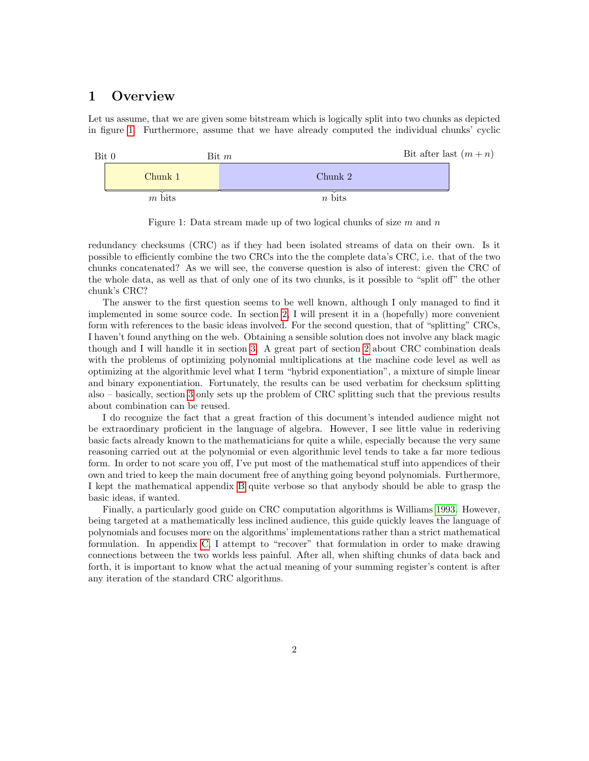## <span id="page-1-0"></span>1 Overview

Let us assume, that we are given some bitstream which is logically split into two chunks as depicted in figure [1.](#page-1-1) Furthermore, assume that we have already computed the individual chunks' cyclic



<span id="page-1-1"></span>Figure 1: Data stream made up of two logical chunks of size  $m$  and  $n$ 

redundancy checksums (CRC) as if they had been isolated streams of data on their own. Is it possible to efficiently combine the two CRCs into the the complete data's CRC, i.e. that of the two chunks concatenated? As we will see, the converse question is also of interest: given the CRC of the whole data, as well as that of only one of its two chunks, is it possible to "split off" the other chunk's CRC?

The answer to the first question seems to be well known, although I only managed to find it implemented in some source code. In section [2,](#page-2-1) I will present it in a (hopefully) more convenient form with references to the basic ideas involved. For the second question, that of "splitting" CRCs, I haven't found anything on the web. Obtaining a sensible solution does not involve any black magic though and I will handle it in section [3.](#page-17-0) A great part of section [2](#page-2-1) about CRC combination deals with the problems of optimizing polynomial multiplications at the machine code level as well as optimizing at the algorithmic level what I term "hybrid exponentiation", a mixture of simple linear and binary exponentiation. Fortunately, the results can be used verbatim for checksum splitting also – basically, section [3](#page-17-0) only sets up the problem of CRC splitting such that the previous results about combination can be reused.

I do recognize the fact that a great fraction of this document's intended audience might not be extraordinary proficient in the language of algebra. However, I see little value in rederiving basic facts already known to the mathematicians for quite a while, especially because the very same reasoning carried out at the polynomial or even algorithmic level tends to take a far more tedious form. In order to not scare you off, I've put most of the mathematical stuff into appendices of their own and tried to keep the main document free of anything going beyond polynomials. Furthermore, I kept the mathematical appendix [B](#page-22-0) quite verbose so that anybody should be able to grasp the basic ideas, if wanted.

Finally, a particularly good guide on CRC computation algorithms is Williams [1993.](#page-31-1) However, being targeted at a mathematically less inclined audience, this guide quickly leaves the language of polynomials and focuses more on the algorithms' implementations rather than a strict mathematical formulation. In appendix [C,](#page-28-0) I attempt to "recover" that formulation in order to make drawing connections between the two worlds less painful. After all, when shifting chunks of data back and forth, it is important to know what the actual meaning of your summing register's content is after any iteration of the standard CRC algorithms.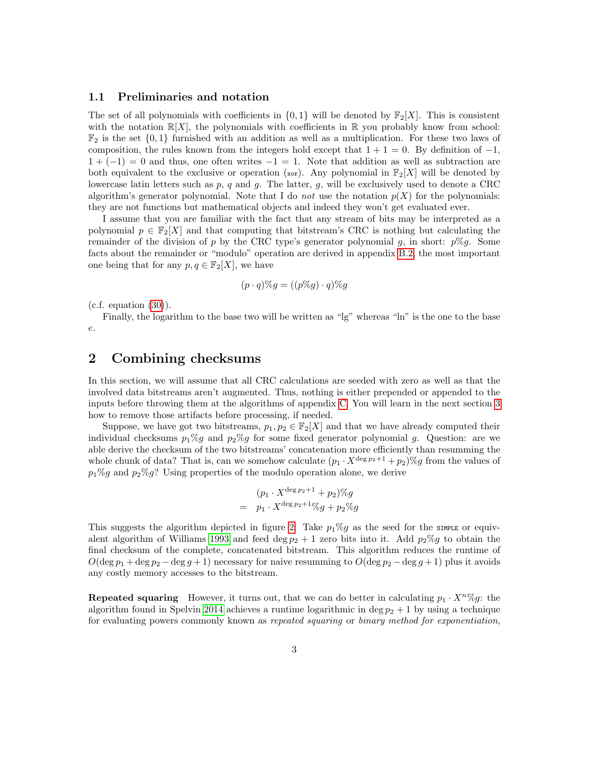### <span id="page-2-0"></span>1.1 Preliminaries and notation

The set of all polynomials with coefficients in  $\{0,1\}$  will be denoted by  $\mathbb{F}_2[X]$ . This is consistent with the notation  $\mathbb{R}[X]$ , the polynomials with coefficients in  $\mathbb{R}$  you probably know from school:  $\mathbb{F}_2$  is the set  $\{0,1\}$  furnished with an addition as well as a multiplication. For these two laws of composition, the rules known from the integers hold except that  $1 + 1 = 0$ . By definition of  $-1$ ,  $1 + (-1) = 0$  and thus, one often writes  $-1 = 1$ . Note that addition as well as subtraction are both equivalent to the exclusive or operation (xor). Any polynomial in  $\mathbb{F}_2[X]$  will be denoted by lowercase latin letters such as  $p$ ,  $q$  and  $q$ . The latter,  $q$ , will be exclusively used to denote a CRC algorithm's generator polynomial. Note that I do *not* use the notation  $p(X)$  for the polynomials: they are not functions but mathematical objects and indeed they won't get evaluated ever.

I assume that you are familiar with the fact that any stream of bits may be interpreted as a polynomial  $p \in \mathbb{F}_2[X]$  and that computing that bitstream's CRC is nothing but calculating the remainder of the division of p by the CRC type's generator polynomial g, in short:  $p\%g$ . Some facts about the remainder or "modulo" operation are derived in appendix [B.2,](#page-25-0) the most important one being that for any  $p, q \in \mathbb{F}_2[X]$ , we have

$$
(p \cdot q)\%g = ((p\%g) \cdot q)\%g
$$

 $(c.f. equation (30)).$  $(c.f. equation (30)).$  $(c.f. equation (30)).$ 

Finally, the logarithm to the base two will be written as "lg" whereas "ln" is the one to the base e.

## <span id="page-2-1"></span>2 Combining checksums

In this section, we will assume that all CRC calculations are seeded with zero as well as that the involved data bitstreams aren't augmented. Thus, nothing is either prepended or appended to the inputs before throwing them at the algorithms of appendix [C.](#page-28-0) You will learn in the next section [3](#page-17-0) how to remove those artifacts before processing, if needed.

Suppose, we have got two bitstreams,  $p_1, p_2 \in \mathbb{F}_2[X]$  and that we have already computed their individual checksums  $p_1\%g$  and  $p_2\%g$  for some fixed generator polynomial g. Question: are we able derive the checksum of the two bitstreams' concatenation more efficiently than resumming the whole chunk of data? That is, can we somehow calculate  $(p_1 \cdot X^{\deg p_2+1} + p_2)\%g$  from the values of  $p_1\%g$  and  $p_2\%g$ ? Using properties of the modulo operation alone, we derive

$$
(p_1 \cdot X^{\deg p_2 + 1} + p_2) \% g
$$
  
=  $p_1 \cdot X^{\deg p_2 + 1} \% g + p_2 \% g$ 

This suggests the algorithm depicted in figure [2:](#page-3-1) Take  $p_1\%g$  as the seed for the SIMPLE or equiv-alent algorithm of Williams [1993](#page-31-1) and feed deg  $p_2 + 1$  zero bits into it. Add  $p_2\%$  to obtain the final checksum of the complete, concatenated bitstream. This algorithm reduces the runtime of  $O(\deg p_1 + \deg p_2 - \deg g + 1)$  necessary for naive resumming to  $O(\deg p_2 - \deg g + 1)$  plus it avoids any costly memory accesses to the bitstream.

**Repeated squaring** However, it turns out, that we can do better in calculating  $p_1 \cdot X^n \% g$ : the algorithm found in Spelvin [2014](#page-31-2) achieves a runtime logarithmic in deg  $p_2 + 1$  by using a technique for evaluating powers commonly known as repeated squaring or binary method for exponentiation,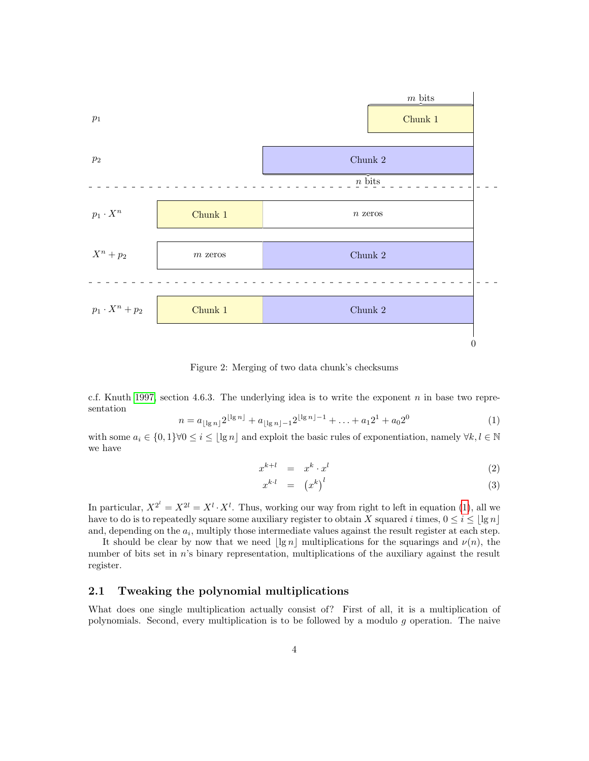

<span id="page-3-1"></span>Figure 2: Merging of two data chunk's checksums

c.f. Knuth [1997,](#page-31-3) section 4.6.3. The underlying idea is to write the exponent n in base two representation

<span id="page-3-2"></span>
$$
n = a_{\lfloor \lg n \rfloor} 2^{\lfloor \lg n \rfloor} + a_{\lfloor \lg n \rfloor - 1} 2^{\lfloor \lg n \rfloor - 1} + \ldots + a_1 2^1 + a_0 2^0 \tag{1}
$$

with some  $a_i \in \{0,1\} \forall 0 \leq i \leq |\lg n|$  and exploit the basic rules of exponentiation, namely  $\forall k, l \in \mathbb{N}$ we have

$$
x^{k+l} = x^k \cdot x^l \tag{2}
$$

$$
x^{k \cdot l} = (x^k)^l \tag{3}
$$

In particular,  $X^{2^l} = X^{2l} = X^l \cdot X^l$ . Thus, working our way from right to left in equation [\(1\)](#page-3-2), all we have to do is to repeatedly square some auxiliary register to obtain X squared i times,  $0 \le i \le |\lg n|$ and, depending on the  $a_i$ , multiply those intermediate values against the result register at each step.

It should be clear by now that we need  $\lvert \lg n \rvert$  multiplications for the squarings and  $\nu(n)$ , the number of bits set in  $n$ 's binary representation, multiplications of the auxiliary against the result register.

## <span id="page-3-0"></span>2.1 Tweaking the polynomial multiplications

What does one single multiplication actually consist of? First of all, it is a multiplication of polynomials. Second, every multiplication is to be followed by a modulo  $g$  operation. The naive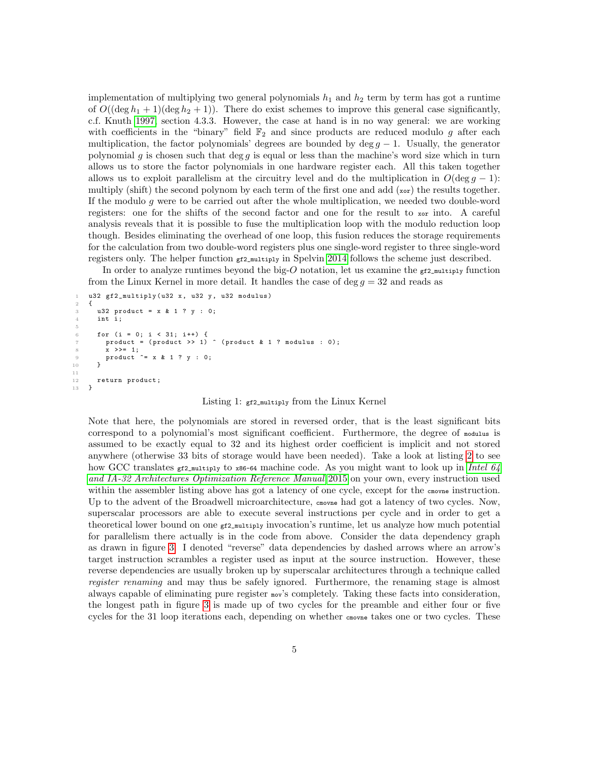implementation of multiplying two general polynomials  $h_1$  and  $h_2$  term by term has got a runtime of  $O((\deg h_1 + 1)(\deg h_2 + 1))$ . There do exist schemes to improve this general case significantly, c.f. Knuth [1997,](#page-31-3) section 4.3.3. However, the case at hand is in no way general: we are working with coefficients in the "binary" field  $\mathbb{F}_2$  and since products are reduced modulo g after each multiplication, the factor polynomials' degrees are bounded by deg  $q - 1$ . Usually, the generator polynomial g is chosen such that deg g is equal or less than the machine's word size which in turn allows us to store the factor polynomials in one hardware register each. All this taken together allows us to exploit parallelism at the circuitry level and do the multiplication in  $O(\deg g - 1)$ : multiply (shift) the second polynom by each term of the first one and add  $(x \circ r)$  the results together. If the modulo  $g$  were to be carried out after the whole multiplication, we needed two double-word registers: one for the shifts of the second factor and one for the result to xor into. A careful analysis reveals that it is possible to fuse the multiplication loop with the modulo reduction loop though. Besides eliminating the overhead of one loop, this fusion reduces the storage requirements for the calculation from two double-word registers plus one single-word register to three single-word registers only. The helper function  $g f_{2,\text{multiply}}$  in Spelvin [2014](#page-31-2) follows the scheme just described.

In order to analyze runtimes beyond the big-O notation, let us examine the  $g_{f2\_multiply}$  function from the Linux Kernel in more detail. It handles the case of deg  $q = 32$  and reads as

```
u32 gf2_multiply (u32 x, u32 y, u32 modulus)
 \overline{2}3 u32 product = x & 1 ? y : 0;
              int i;
  5
              for (i = 0; i < 31; i++) {
                  \begin{bmatrix} 1 & 0 & 0 \\ 0 & 1 & 0 \\ 0 & 1 & 0 \end{bmatrix} \begin{bmatrix} 1 & 0 & 0 \\ 0 & 1 & 0 \\ 0 & 1 & 0 \end{bmatrix} \begin{bmatrix} 0 & 0 & 0 \\ 0 & 1 & 0 \\ 0 & 0 & 1 \end{bmatrix}; product \begin{bmatrix} 0 & 0 & 0 \\ 0 & 1 & 0 \\ 0 & 0 & 1 \end{bmatrix}; product \begin{bmatrix} 0 & 0 & 0 \\ 0 & 0 & 0 \\ 0 & 0 & 1 \end{bmatrix}x \rightarrow>= 1;
 9 product \hat{z} = x \& 1 \ ? \ y \; : \; 0;1011
12 return product;<br>13 }
13 }
```
Listing 1: gf2\_multiply from the Linux Kernel

Note that here, the polynomials are stored in reversed order, that is the least significant bits correspond to a polynomial's most significant coefficient. Furthermore, the degree of modulus is assumed to be exactly equal to 32 and its highest order coefficient is implicit and not stored anywhere (otherwise 33 bits of storage would have been needed). Take a look at listing [2](#page-5-0) to see how GCC translates  $_{gt2}$  multiply to x86-64 machine code. As you might want to look up in [Intel 64](#page-31-4) [and IA-32 Architectures Optimization Reference Manual](#page-31-4) [2015](#page-31-4) on your own, every instruction used within the assembler listing above has got a latency of one cycle, except for the cmovne instruction. Up to the advent of the Broadwell microarchitecture, cnowne had got a latency of two cycles. Now, superscalar processors are able to execute several instructions per cycle and in order to get a theoretical lower bound on one  $_{\text{gf2_multiply}}$  invocation's runtime, let us analyze how much potential for parallelism there actually is in the code from above. Consider the data dependency graph as drawn in figure [3.](#page-6-0) I denoted "reverse" data dependencies by dashed arrows where an arrow's target instruction scrambles a register used as input at the source instruction. However, these reverse dependencies are usually broken up by superscalar architectures through a technique called register renaming and may thus be safely ignored. Furthermore, the renaming stage is almost always capable of eliminating pure register mov's completely. Taking these facts into consideration, the longest path in figure [3](#page-6-0) is made up of two cycles for the preamble and either four or five cycles for the 31 loop iterations each, depending on whether constructed takes one or two cycles. These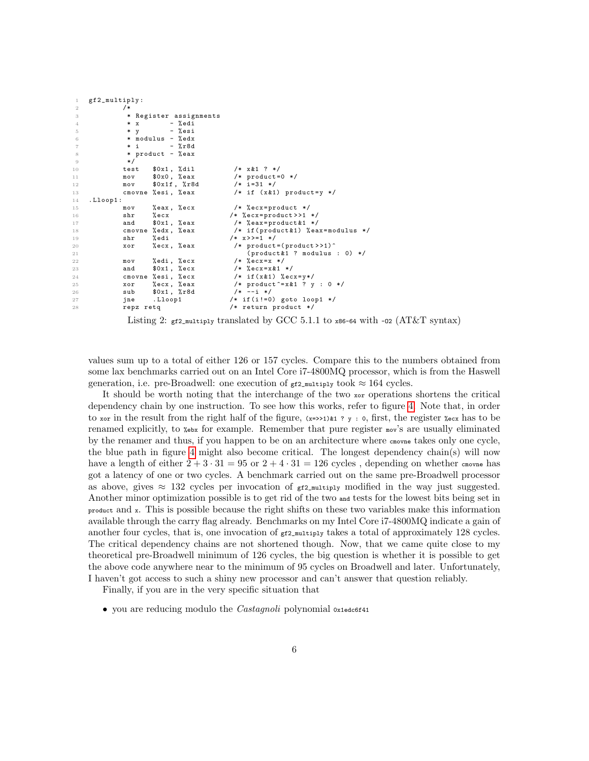```
gf2_multiply:
\frac{2}{3} /*
                  3 * Register assignments
4 \ast x - %edi
5 * y - % esi
6 * modulus - %edx<br>
7 * i - %r8d
7 * i - %r8d* product - % eax
9 */
10 test $0x1, %dil /* x&1 ? */<br>11 mov $0x0, %eax /* product=
11 mov 0 \times 0, % eax /* product = 0 */<br>
12 mov 0 \times 1f, %r8d /* i=31 */
                            % x1f, % r8d13 cmovne % esi, % eax /* if (x \&1) product=y */<br>14 .Lloop1:
     . Lloop1 :
15 mov %eax, % ecx /* % ecx = product */<br>16 shr % ecx /* % ecx = product >>1
16 shr %ecx /* % ecx=product>>1 */<br>17 and $0x1, % eax /* % eax=product & 1 */
17 and $0x1, % eax /* % eax = product & 1 */<br>18 cmovne % edx, % eax /* if (product & 1) % % ea
18 cmovne % edx, % eax \neq if ( product & 1) % eax = modulus \ast/<br>19 shr % edi \neq x>>=1 \ast/
                                                       /* x >> = 1 * /20 xor % ecx, % eax /* product = (product >>1)^
21 (\begin{array}{ccc} 21 & \text{if } 22 \end{array} (\begin{array}{ccc} 22 & \text{if } 22 \end{array} and \begin{array}{ccc} 22 & \text{if } 22 \end{array} (\begin{array}{ccc} 22 & \text{if } 22 \end{array} and \begin{array}{ccc} 22 & \text{if } 22 \end{array} and \begin{array}{ccc} 22 & \text{if } 22 \end{array} and \begin{array}{ccc} 22 & \text{if } 22 \end{array} and \begin{array}{22 mov % edi, % ecx<br>23 and $0x1, % ecx
                                                         /* % ecx = x &1 */
24 cmovne % esi, % ecx /* if (x & 1) % ecx = y */<br>25 xor % ecx, % eax /* product^=x & 1 ? y
                                                         /* product \hat{i} = x \&1 ? y : 0 */<br>
\hat{j} = -i *j26 sub $0x1, %r8d /*<br>27 jne .Lloop1 /*
                                                       /* if (i != 0) goto loop1 */28 repz retq /* return product */
```
Listing 2:  $_{\text{gf2_multiply}}$  translated by GCC 5.1.1 to  $_{\text{x86-64}}$  with -o2 (AT&T syntax)

values sum up to a total of either 126 or 157 cycles. Compare this to the numbers obtained from some lax benchmarks carried out on an Intel Core i7-4800MQ processor, which is from the Haswell generation, i.e. pre-Broadwell: one execution of  $_{\text{gf2\_multiply}}$  took  $\approx 164$  cycles.

It should be worth noting that the interchange of the two  $\infty$  operations shortens the critical dependency chain by one instruction. To see how this works, refer to figure [4.](#page-7-0) Note that, in order to xor in the result from the right half of the figure,  $(x=3)$  is  $\gamma$  ; 0, first, the register  $\gamma$ ecx has to be renamed explicitly, to %ebx for example. Remember that pure register mov's are usually eliminated by the renamer and thus, if you happen to be on an architecture where construe takes only one cycle, the blue path in figure [4](#page-7-0) might also become critical. The longest dependency chain(s) will now have a length of either  $2 + 3 \cdot 31 = 95$  or  $2 + 4 \cdot 31 = 126$  cycles, depending on whether cmovne has got a latency of one or two cycles. A benchmark carried out on the same pre-Broadwell processor as above, gives  $\approx 132$  cycles per invocation of  $_{\text{gf2\_multiply}}$  modified in the way just suggested. Another minor optimization possible is to get rid of the two and tests for the lowest bits being set in product and <sup>x</sup>. This is possible because the right shifts on these two variables make this information available through the carry flag already. Benchmarks on my Intel Core i7-4800MQ indicate a gain of another four cycles, that is, one invocation of  $gr2_m$  takes a total of approximately 128 cycles. The critical dependency chains are not shortened though. Now, that we came quite close to my theoretical pre-Broadwell minimum of 126 cycles, the big question is whether it is possible to get the above code anywhere near to the minimum of 95 cycles on Broadwell and later. Unfortunately, I haven't got access to such a shiny new processor and can't answer that question reliably.

Finally, if you are in the very specific situation that

• you are reducing modulo the *Castagnoli* polynomial  $\alpha$ <sub>1</sub>edc6f41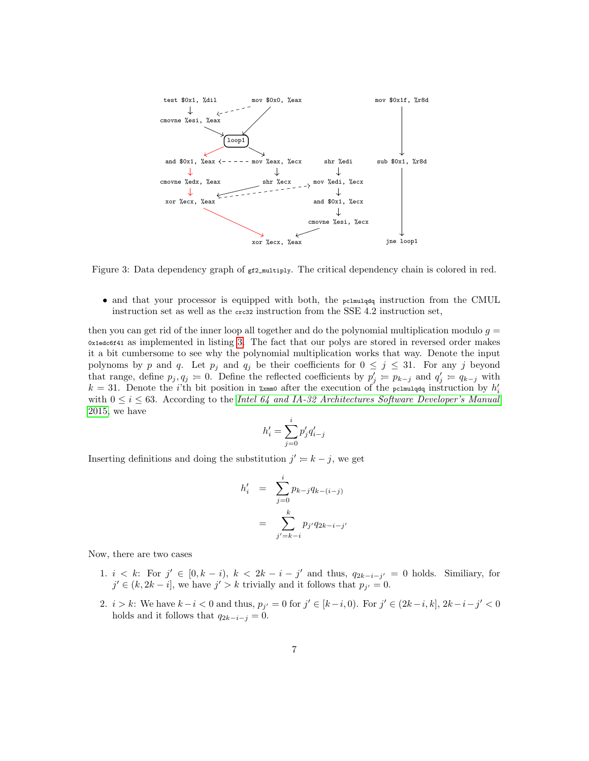

<span id="page-6-0"></span>Figure 3: Data dependency graph of  $gf2_m$ ultiply. The critical dependency chain is colored in red.

 $\bullet$  and that your processor is equipped with both, the parameters instruction from the CMUL instruction set as well as the crc32 instruction from the SSE 4.2 instruction set,

then you can get rid of the inner loop all together and do the polynomial multiplication modulo  $g =$ 0x1edc6f41 as implemented in listing [3.](#page-8-0) The fact that our polys are stored in reversed order makes it a bit cumbersome to see why the polynomial multiplication works that way. Denote the input polynoms by p and q. Let  $p_j$  and  $q_j$  be their coefficients for  $0 \leq j \leq 31$ . For any j beyond that range, define  $p_j, q_j = 0$ . Define the reflected coefficients by  $p'_j = p_{k-j}$  and  $q'_j = q_{k-j}$  with  $k = 31$ . Denote the *i*'th bit position in  $\chi$ <sub>xmm0</sub> after the execution of the permulged instruction by  $h'_i$ with  $0 \le i \le 63$ . According to the [Intel 64 and IA-32 Architectures Software Developer's Manual](#page-31-5) [2015,](#page-31-5) we have

$$
h'_i=\sum_{j=0}^i p'_j q'_{i-j}
$$

Inserting definitions and doing the substitution  $j' = k - j$ , we get

$$
h'_{i} = \sum_{j=0}^{i} p_{k-j} q_{k-(i-j)}
$$
  
= 
$$
\sum_{j'=k-i}^{k} p_{j'} q_{2k-i-j'}
$$

Now, there are two cases

- 1.  $i < k$ : For  $j' \in [0, k i)$ ,  $k < 2k i j'$  and thus,  $q_{2k-i-j'} = 0$  holds. Similiary, for  $j' \in (k, 2k - i]$ , we have  $j' > k$  trivially and it follows that  $p_{j'} = 0$ .
- 2.  $i > k$ : We have  $k i < 0$  and thus,  $p_{j'} = 0$  for  $j' \in [k i, 0)$ . For  $j' \in (2k i, k]$ ,  $2k i j' < 0$ holds and it follows that  $q_{2k-i-j} = 0$ .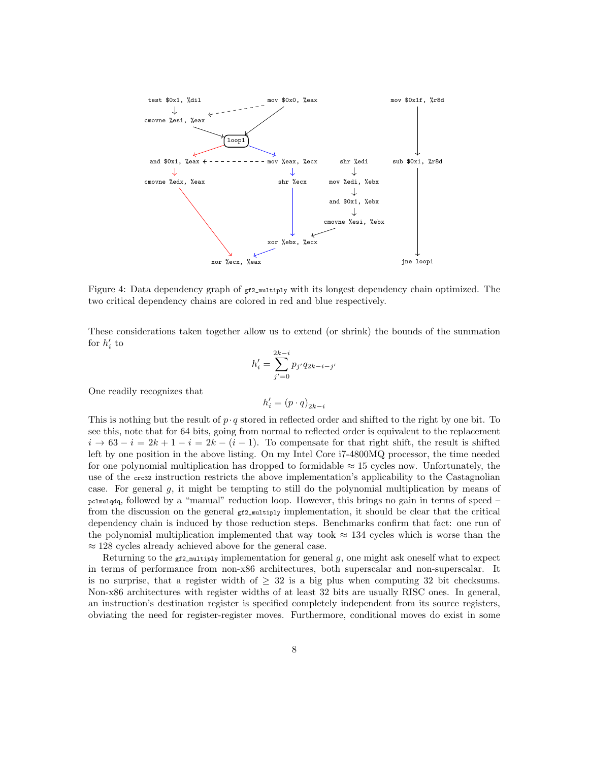

<span id="page-7-0"></span>Figure 4: Data dependency graph of  $g f_{2\mu}$  with its longest dependency chain optimized. The two critical dependency chains are colored in red and blue respectively.

These considerations taken together allow us to extend (or shrink) the bounds of the summation for  $h'_i$  to

$$
h'_{i} = \sum_{j'=0}^{2k-i} p_{j'} q_{2k-i-j'}
$$

One readily recognizes that

$$
h'_i = (p\cdot q)_{2k-i}
$$

This is nothing but the result of  $p \cdot q$  stored in reflected order and shifted to the right by one bit. To see this, note that for 64 bits, going from normal to reflected order is equivalent to the replacement  $i \to 63 - i = 2k + 1 - i = 2k - (i - 1)$ . To compensate for that right shift, the result is shifted left by one position in the above listing. On my Intel Core i7-4800MQ processor, the time needed for one polynomial multiplication has dropped to formidable  $\approx$  15 cycles now. Unfortunately, the use of the crc32 instruction restricts the above implementation's applicability to the Castagnolian case. For general  $g$ , it might be tempting to still do the polynomial multiplication by means of pclmulqdq, followed by a "manual" reduction loop. However, this brings no gain in terms of speed – from the discussion on the general  $g_{f2\_multiply}$  implementation, it should be clear that the critical dependency chain is induced by those reduction steps. Benchmarks confirm that fact: one run of the polynomial multiplication implemented that way took  $\approx 134$  cycles which is worse than the  $\approx$  128 cycles already achieved above for the general case.

Returning to the  $_{\text{gf2_multiply}}$  implementation for general q, one might ask oneself what to expect in terms of performance from non-x86 architectures, both superscalar and non-superscalar. It is no surprise, that a register width of  $> 32$  is a big plus when computing 32 bit checksums. Non-x86 architectures with register widths of at least 32 bits are usually RISC ones. In general, an instruction's destination register is specified completely independent from its source registers, obviating the need for register-register moves. Furthermore, conditional moves do exist in some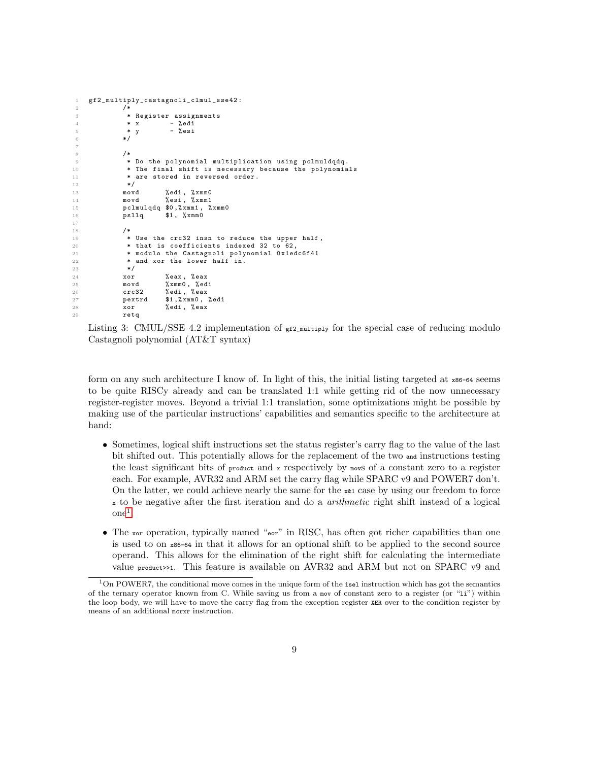```
1 gf2_multiply_castagnoli_clmul_sse42 :
 2 /*
3 * Register assignments
4 * x - % edi
5 * y - % esi
6 */
7
 8 /*
9 * Do the polynomial multiplication using pclmuldqdq .
10 * The final shift is necessary because the polynomials <br>11 * are stored in reversed order.
              * are stored in reversed order.
12 */
13 movd %edi, %xmm0<br>14 movd %esi, %xmm1
                        %esi, %xmm1
15 pclmulqdq $0,%xmm1, %xmm0<br>16 psllq $1, %xmm0
16 psllq $1, % xmm 0
17
18 /*
19 * Use the crc32 insn to reduce the upper half,
20 * that is coefficients indexed 32 to 62,<br>21 * modulo the Castagnoli polynomial Oxied
21 * modulo the Castagnoli polynomial 0x1edc6f41<br>22 * and xor the lower half in.
22 * and xor the lower half in.<br>23 */
              * /
24 xor %eax, %eax<br>25 movd %xmm0. %ed
             movd %xmm0, % edi<br>crc32 % edi, % eax
26 crc32 % edi, % eax<br>27 pextrd $1.% xmm 0.
27 pextrd $1,%xmm0,%edi<br>28 xor %edi.%eax
             xor % edi, % eax
29 retq
```
Listing 3: CMUL/SSE 4.2 implementation of  $_{\texttt{gf2_multiply}}$  for the special case of reducing modulo Castagnoli polynomial (AT&T syntax)

form on any such architecture I know of. In light of this, the initial listing targeted at x86-64 seems to be quite RISCy already and can be translated 1:1 while getting rid of the now unnecessary register-register moves. Beyond a trivial 1:1 translation, some optimizations might be possible by making use of the particular instructions' capabilities and semantics specific to the architecture at hand:

- Sometimes, logical shift instructions set the status register's carry flag to the value of the last bit shifted out. This potentially allows for the replacement of the two and instructions testing the least significant bits of product and  $x$  respectively by movs of a constant zero to a register each. For example, AVR32 and ARM set the carry flag while SPARC v9 and POWER7 don't. On the latter, we could achieve nearly the same for the  $x_{1}$  case by using our freedom to force <sup>x</sup> to be negative after the first iteration and do a arithmetic right shift instead of a logical  $one<sup>1</sup>$  $one<sup>1</sup>$  $one<sup>1</sup>$ .
- The xor operation, typically named "eor" in RISC, has often got richer capabilities than one is used to on x86-64 in that it allows for an optional shift to be applied to the second source operand. This allows for the elimination of the right shift for calculating the intermediate value product>>1. This feature is available on AVR32 and ARM but not on SPARC v9 and

<span id="page-8-1"></span> $1$ On POWER7, the conditional move comes in the unique form of the isel instruction which has got the semantics of the ternary operator known from C. While saving us from a nov of constant zero to a register (or "1i") within the loop body, we will have to move the carry flag from the exception register XER over to the condition register by means of an additional mcrxr instruction.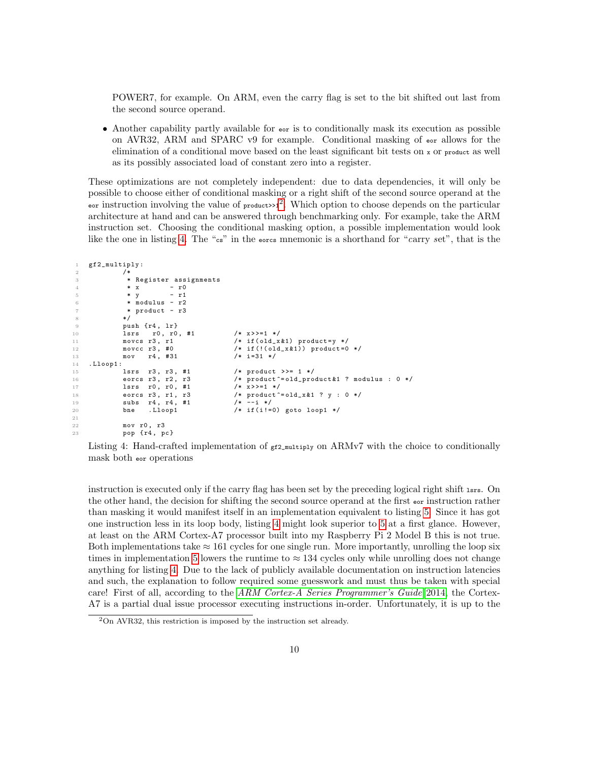POWER7, for example. On ARM, even the carry flag is set to the bit shifted out last from the second source operand.

• Another capability partly available for  $\epsilon$  is to conditionally mask its execution as possible on AVR32, ARM and SPARC v9 for example. Conditional masking of eor allows for the elimination of a conditional move based on the least significant bit tests on x or product as well as its possibly associated load of constant zero into a register.

These optimizations are not completely independent: due to data dependencies, it will only be possible to choose either of conditional masking or a right shift of the second source operand at the eor instruction involving the value of  $_{\text{product}\gg1}^2$  $_{\text{product}\gg1}^2$ . Which option to choose depends on the particular architecture at hand and can be answered through benchmarking only. For example, take the ARM instruction set. Choosing the conditional masking option, a possible implementation would look like the one in listing [4.](#page-9-1) The "cs" in the eorcs mnemonic is a shorthand for "carry set", that is the

```
1 gf2_multiply :
2 /*
3 * Register assignments
4 * x - r0<br>5 * y - r1
5 * y - r1
6 \times modulus - r27 * product - r3
8 */
9 push {r4 , lr }
10 lsrs r0, r0, #1 /* x \gg = 1 * /<br>11 movcs r3, r1 /* if (old_x1 if ( old_x &1) product = y */
12 movcc r3, #0 /* if (! (old_x &1)) product=0 */
13 mov r4, #31 /* i=31 */
14 . Lloop1 :
15 lsrs r3 , r3 , #1 /* product >>= 1 */
16 eorcs r3 , r2 , r3 /* product ^= old_product &1 ? modulus : 0 */
17 lsrs r0, r0, #1 /* x>>=1 */<br>18 eorcs r3, r1, r3 /* product<sup>-</sup>
18 eorcs r3, r1, r3 \frac{18}{19} /* product \frac{18}{19} \frac{18}{19} \frac{18}{19} \frac{19}{19} \frac{19}{19} \frac{19}{19} \frac{19}{19} \frac{19}{19} \frac{19}{19} \frac{19}{19} \frac{19}{19} \frac{19}{19} \frac{19}{19} \frac{19}{19} \frac{19}{19}19 subs r4, r4, #1<br>20 bne .Lloop1
             bne . Lloop1 /* if (i!=0) goto loop1 */
21
22 mov r0 , r3
23 pop {r4 , pc }
```
Listing 4: Hand-crafted implementation of  $_{\text{gf2_multiply}}$  on ARMv7 with the choice to conditionally mask both eor operations

instruction is executed only if the carry flag has been set by the preceding logical right shift lsrs. On the other hand, the decision for shifting the second source operand at the first  $\epsilon_{or}$  instruction rather than masking it would manifest itself in an implementation equivalent to listing [5.](#page-10-0) Since it has got one instruction less in its loop body, listing [4](#page-9-1) might look superior to [5](#page-10-0) at a first glance. However, at least on the ARM Cortex-A7 processor built into my Raspberry Pi 2 Model B this is not true. Both implementations take  $\approx 161$  cycles for one single run. More importantly, unrolling the loop six times in implementation [5](#page-10-0) lowers the runtime to  $\approx 134$  cycles only while unrolling does not change anything for listing [4.](#page-9-1) Due to the lack of publicly available documentation on instruction latencies and such, the explanation to follow required some guesswork and must thus be taken with special care! First of all, according to the [ARM Cortex-A Series Programmer's Guide](#page-31-6) [2014,](#page-31-6) the Cortex-A7 is a partial dual issue processor executing instructions in-order. Unfortunately, it is up to the

<span id="page-9-0"></span><sup>2</sup>On AVR32, this restriction is imposed by the instruction set already.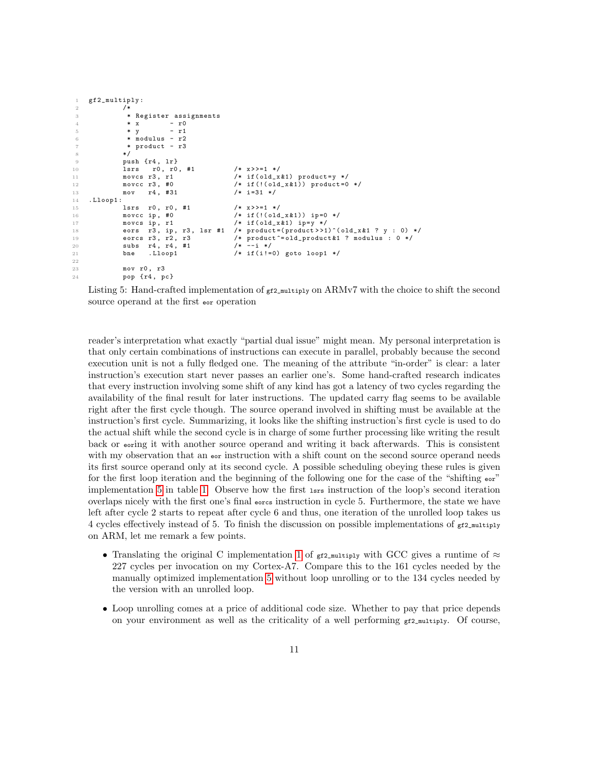```
gf2_multiply:
\frac{2}{3} /*
                      * Register assignments
4 \star x - r0
5 * y - r1
6 \times modulus - r2
7 * product - r3
                    * /
9 push {r4 , lr }
10 lsrs r0, r0, #1 /* x>>=1 */<br>11 movcs r3, r1 /* if(old_x
                    11 movcs 13, r1 /<br>
movcc r3, #0 /* if (!(old_x &1)) product=0<br>
\begin{array}{ccc} 1 & \text{if } (1 & 0 & 0 \text{if } (1 & 0 & 0 \text{if } (1 & 0 & 0 \text{if } (1 & 0 & 0 \text{if } (1 & 0 & 0 \text{if } (1 & 0 & 0 \text{if } (1 & 0 & 0 \text{if } (1 & 0 & 0 \text{if } (1 & 0 & 0 \text{if } (1 & 0 & 0 \text{if } (1 & 0 & 0 & 0 \text12 movcc r3, #0 /* if (!old_x &1) product=0 */13 mov r4, #31 /* i=31 */<br>14 .Lloop1:
       . Lloop1 :
15 lsrs r0 , r0 , #1 /* x > >=1 */
16 movcc ip, #0 <br>
17 movcs ip, r1 <br>
\frac{1}{17} \frac{1}{17} \frac{1}{17} \frac{1}{17} \frac{1}{17} \frac{1}{17} \frac{1}{17} \frac{1}{17} \frac{1}{17} \frac{1}{17} \frac{1}{17} \frac{1}{17} \frac{1}{17} \frac{1}{17} \frac{1}{17} \frac{1}{17} \frac{1}{117 movcs ip, r1 /* if (old\_x\&1) ip=y */<br>18 eors r3, ip, r3, 1sr #1 /* product=(product>>1
18 eors r3, ip, r3, lsr #1 /* product=(product>>1)^(old_x &1 ? y : 0) */<br>19 eorcs r3, r2, r3 /* product -= old_product &1 ? modulus : 0 */
                                                                    /* product \text{--} \text{--} \text{--} \text{--} \text{--} \text{--} \text{--} \text{--} \text{--} \text{--} \text{--} \text{--} \text{--} \text{--} \text{--} \text{--} \text{--} \text{--} \text{--} \text{--} \text{--} \text{--} \text{--} \text{--} \text{--} \text{--} 20 subs r4 , r4 , #1 /* --i */
21 bne . Lloop1 /* if (i!=0) goto loop1 */
22
23 mov r0 , r3
24 pop {r4 , pc }
```
Listing 5: Hand-crafted implementation of  $g f_{2,\text{multiply on}}$  ARMv7 with the choice to shift the second source operand at the first eor operation

reader's interpretation what exactly "partial dual issue" might mean. My personal interpretation is that only certain combinations of instructions can execute in parallel, probably because the second execution unit is not a fully fledged one. The meaning of the attribute "in-order" is clear: a later instruction's execution start never passes an earlier one's. Some hand-crafted research indicates that every instruction involving some shift of any kind has got a latency of two cycles regarding the availability of the final result for later instructions. The updated carry flag seems to be available right after the first cycle though. The source operand involved in shifting must be available at the instruction's first cycle. Summarizing, it looks like the shifting instruction's first cycle is used to do the actual shift while the second cycle is in charge of some further processing like writing the result back or eoring it with another source operand and writing it back afterwards. This is consistent with my observation that an e<sub>or</sub> instruction with a shift count on the second source operand needs its first source operand only at its second cycle. A possible scheduling obeying these rules is given for the first loop iteration and the beginning of the following one for the case of the "shifting  $\epsilon$ " implementation [5](#page-10-0) in table [1.](#page-11-1) Observe how the first lsrs instruction of the loop's second iteration overlaps nicely with the first one's final eorcs instruction in cycle 5. Furthermore, the state we have left after cycle 2 starts to repeat after cycle 6 and thus, one iteration of the unrolled loop takes us 4 cycles effectively instead of 5. To finish the discussion on possible implementations of  $g f_2$ \_multiply on ARM, let me remark a few points.

- Translating the original C implementation [1](#page-4-0) of  $_{\text{gf2_multiply}}$  with GCC gives a runtime of  $\approx$ 227 cycles per invocation on my Cortex-A7. Compare this to the 161 cycles needed by the manually optimized implementation [5](#page-10-0) without loop unrolling or to the 134 cycles needed by the version with an unrolled loop.
- Loop unrolling comes at a price of additional code size. Whether to pay that price depends on your environment as well as the criticality of a well performing  $g f_2$ -multiply. Of course,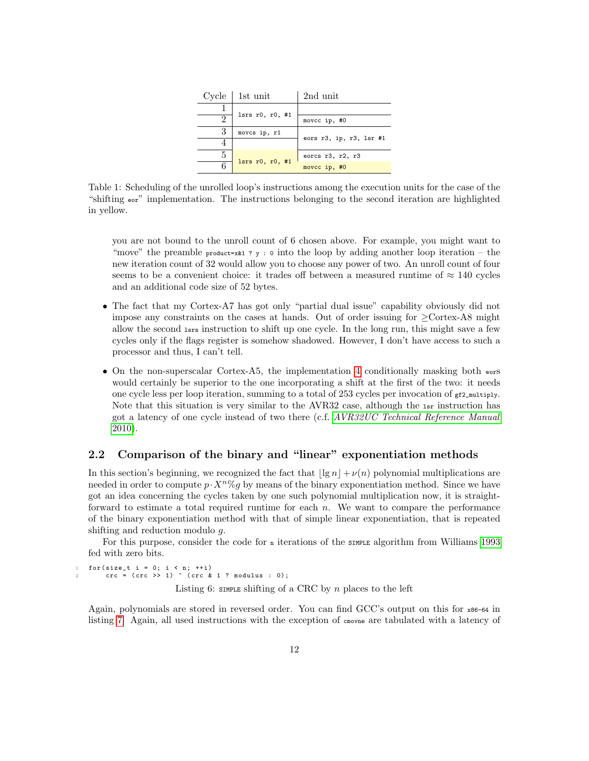| Cycle | 1st unit                | 2nd unit                 |
|-------|-------------------------|--------------------------|
|       | $l srs$ r0, r0, #1      |                          |
|       |                         | movcc ip, #0             |
| 3     | movcs ip, r1            |                          |
|       |                         | eors r3, ip, r3, lsr #1  |
| 5     | lsrs $r0$ , $r0$ , $#1$ | eorcs $r3$ , $r2$ , $r3$ |
| 6     |                         | movcc ip, #0             |

<span id="page-11-1"></span>Table 1: Scheduling of the unrolled loop's instructions among the execution units for the case of the "shifting eor" implementation. The instructions belonging to the second iteration are highlighted in yellow.

you are not bound to the unroll count of 6 chosen above. For example, you might want to "move" the preamble product=x $k1$  ? y : 0 into the loop by adding another loop iteration – the new iteration count of 32 would allow you to choose any power of two. An unroll count of four seems to be a convenient choice: it trades off between a measured runtime of  $\approx 140$  cycles and an additional code size of 52 bytes.

- The fact that my Cortex-A7 has got only "partial dual issue" capability obviously did not impose any constraints on the cases at hands. Out of order issuing for  $\geq$ Cortex-A8 might allow the second lsrs instruction to shift up one cycle. In the long run, this might save a few cycles only if the flags register is somehow shadowed. However, I don't have access to such a processor and thus, I can't tell.
- On the non-superscalar Cortex-A5, the implementation [4](#page-9-1) conditionally masking both  $\epsilon_{\text{ors}}$ would certainly be superior to the one incorporating a shift at the first of the two: it needs one cycle less per loop iteration, summing to a total of 253 cycles per invocation of  $gt2$ <sub>s</sub> $t_2$ <sub>multiply</sub>. Note that this situation is very similar to the AVR32 case, although the  $1sr$  instruction has got a latency of one cycle instead of two there (c.f. [AVR32UC Technical Reference Manual](#page-31-7) [2010\)](#page-31-7).

## <span id="page-11-0"></span>2.2 Comparison of the binary and "linear" exponentiation methods

In this section's beginning, we recognized the fact that  $|\lg n| + \nu(n)$  polynomial multiplications are needed in order to compute  $p \cdot X^n \% g$  by means of the binary exponentiation method. Since we have got an idea concerning the cycles taken by one such polynomial multiplication now, it is straightforward to estimate a total required runtime for each  $n$ . We want to compare the performance of the binary exponentiation method with that of simple linear exponentiation, that is repeated shifting and reduction modulo g.

For this purpose, consider the code for  $n$  iterations of the simple algorithm from Williams [1993](#page-31-1) fed with zero bits.

<span id="page-11-2"></span>1 for (size\_t i = 0; i < n; ++i)<br>2 crc = (crc >> 1) ^ (crc & 1 ? modulus : 0); Listing 6: SIMPLE shifting of a CRC by n places to the left

Again, polynomials are stored in reversed order. You can find GCC's output on this for x86-64 in listing [7.](#page-12-0) Again, all used instructions with the exception of cmovne are tabulated with a latency of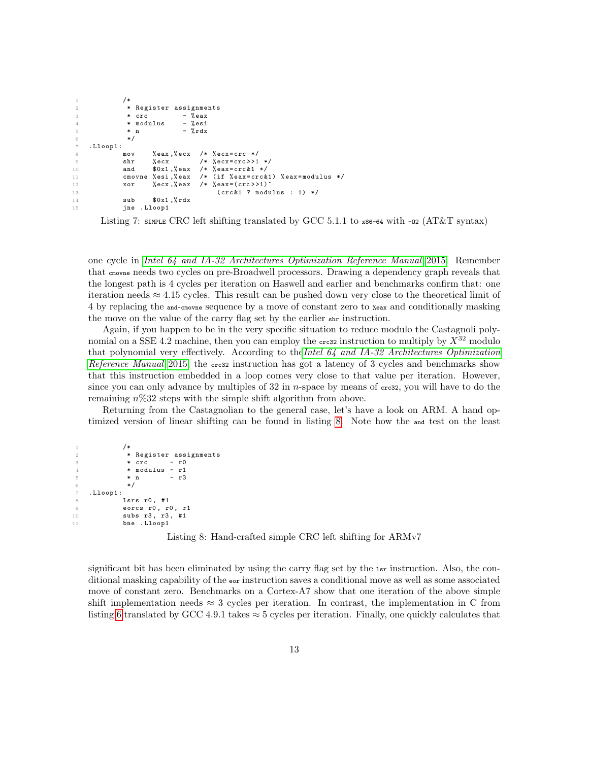```
1 /*
2 * Register assignments<br>3 * crc - % eax
               * crc -4 * modulus - % esi
5 * n - \int d^2x dx6 */
7 . Lloop1 :
                      %eax,%ecx /* %ecx=crc */
9 shr %ecx /* % ecx=crc>>1 */<br>10 and $0x1,%eax /* %eax=crc&1 */
10 and $0x1, %eax /* %eax=crc&1 */<br>11 cmovne %esi,%eax /* (if %eax=crc&
                      % esi ,% eax /* (if % eax = crc &1) % eax = modulus */<br>% ecx ,% eax /* % eax = (crc > > 1) ^
12 xor % ecx, % eax /* % eax = ( crc >>1)^
13 (\csc k1 ? modulus : 1) */<br>14 5ub \csc k1, \csc k1 ? modulus : 1) */
14 sub \text{$0x1$, %rdx}<br>15 jne .Lloop1
                  . Lloop1
```
Listing 7: SIMPLE CRC left shifting translated by GCC 5.1.1 to  $x86-64$  with  $-02$  (AT&T syntax)

one cycle in [Intel 64 and IA-32 Architectures Optimization Reference Manual](#page-31-4) [2015.](#page-31-4) Remember that cmovne needs two cycles on pre-Broadwell processors. Drawing a dependency graph reveals that the longest path is 4 cycles per iteration on Haswell and earlier and benchmarks confirm that: one iteration needs  $\approx 4.15$  cycles. This result can be pushed down very close to the theoretical limit of 4 by replacing the and-cmovne sequence by a move of constant zero to %eax and conditionally masking the move on the value of the carry flag set by the earlier shr instruction.

Again, if you happen to be in the very specific situation to reduce modulo the Castagnoli polynomial on a SSE 4.2 machine, then you can employ the creaz instruction to multiply by  $X^{32}$  modulo that polynomial very effectively. According to the Intel  $64$  and IA-32 Architectures Optimization [Reference Manual](#page-31-4) [2015,](#page-31-4) the cress instruction has got a latency of 3 cycles and benchmarks show that this instruction embedded in a loop comes very close to that value per iteration. However, since you can only advance by multiples of 32 in *n*-space by means of  $\epsilon$ -case, you will have to do the remaining  $n\%32$  steps with the simple shift algorithm from above.

Returning from the Castagnolian to the general case, let's have a look on ARM. A hand optimized version of linear shifting can be found in listing [8.](#page-12-1) Note how the and test on the least

```
1 /*
2 * Register assignments<br>3 * crc - r0
3 * crc
4 \times modulus - r1
5 * n - r3
6 */
7 . Lloop1 :
8 lsrs r0, #1
9 eorcs r0, r0, r1
10 subs r3 , r3 , #1
11 bne . Lloop1
```
Listing 8: Hand-crafted simple CRC left shifting for ARMv7

significant bit has been eliminated by using the carry flag set by the 1sr instruction. Also, the conditional masking capability of the eor instruction saves a conditional move as well as some associated move of constant zero. Benchmarks on a Cortex-A7 show that one iteration of the above simple shift implementation needs  $\approx 3$  cycles per iteration. In contrast, the implementation in C from listing [6](#page-11-2) translated by GCC 4.9.1 takes  $\approx$  5 cycles per iteration. Finally, one quickly calculates that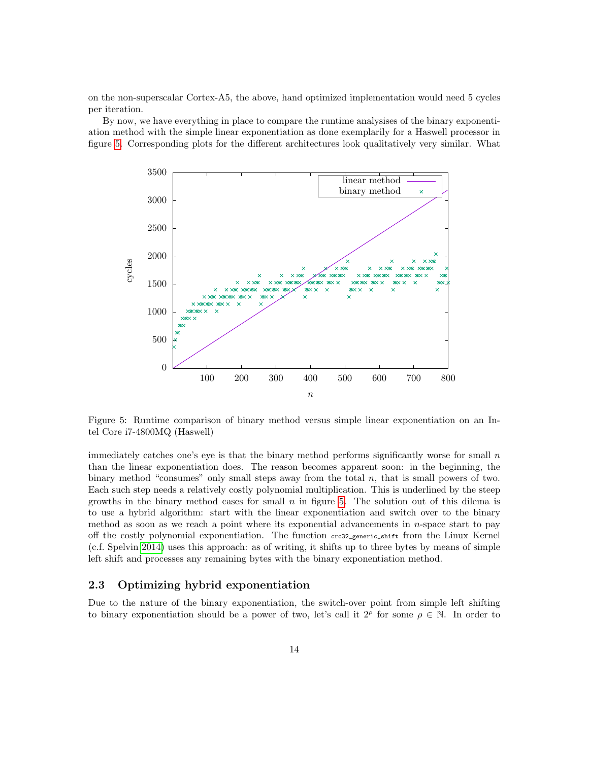on the non-superscalar Cortex-A5, the above, hand optimized implementation would need 5 cycles per iteration.

By now, we have everything in place to compare the runtime analysises of the binary exponentiation method with the simple linear exponentiation as done exemplarily for a Haswell processor in figure [5.](#page-13-1) Corresponding plots for the different architectures look qualitatively very similar. What



<span id="page-13-1"></span>Figure 5: Runtime comparison of binary method versus simple linear exponentiation on an Intel Core i7-4800MQ (Haswell)

immediately catches one's eye is that the binary method performs significantly worse for small  $n$ than the linear exponentiation does. The reason becomes apparent soon: in the beginning, the binary method "consumes" only small steps away from the total  $n$ , that is small powers of two. Each such step needs a relatively costly polynomial multiplication. This is underlined by the steep growths in the binary method cases for small  $n$  in figure [5.](#page-13-1) The solution out of this dilema is to use a hybrid algorithm: start with the linear exponentiation and switch over to the binary method as soon as we reach a point where its exponential advancements in n-space start to pay off the costly polynomial exponentiation. The function crc32\_generic\_shift from the Linux Kernel (c.f. Spelvin [2014\)](#page-31-2) uses this approach: as of writing, it shifts up to three bytes by means of simple left shift and processes any remaining bytes with the binary exponentiation method.

### <span id="page-13-0"></span>2.3 Optimizing hybrid exponentiation

Due to the nature of the binary exponentiation, the switch-over point from simple left shifting to binary exponentiation should be a power of two, let's call it  $2^{\rho}$  for some  $\rho \in \mathbb{N}$ . In order to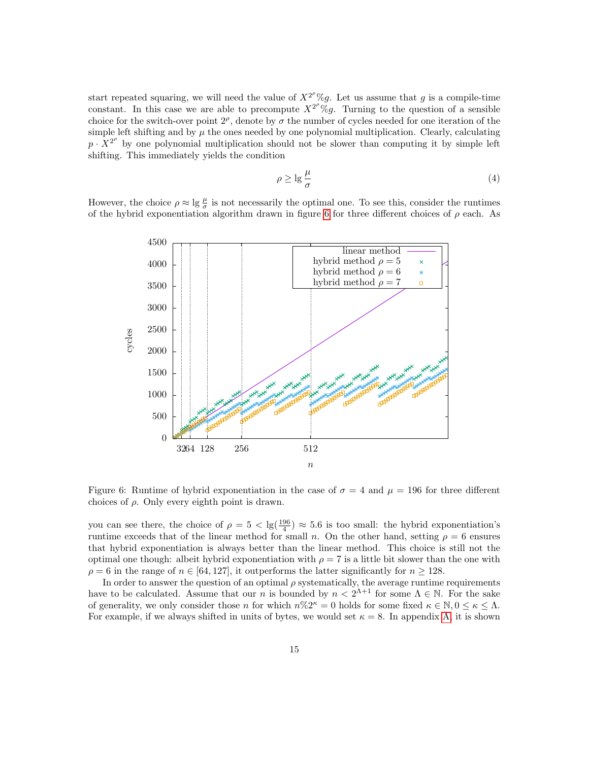start repeated squaring, we will need the value of  $X^{2^p}\%g$ . Let us assume that g is a compile-time constant. In this case we are able to precompute  $X^{2^{\rho}}\%g$ . Turning to the question of a sensible choice for the switch-over point  $2^{\rho}$ , denote by  $\sigma$  the number of cycles needed for one iteration of the simple left shifting and by  $\mu$  the ones needed by one polynomial multiplication. Clearly, calculating  $p \cdot X^{2^{\rho}}$  by one polynomial multiplication should not be slower than computing it by simple left shifting. This immediately yields the condition

<span id="page-14-1"></span>
$$
\rho \ge \lg \frac{\mu}{\sigma} \tag{4}
$$

However, the choice  $\rho \approx \lg \frac{\mu}{\sigma}$  is not necessarily the optimal one. To see this, consider the runtimes of the hybrid exponentiation algorithm drawn in figure [6](#page-14-0) for three different choices of  $\rho$  each. As



<span id="page-14-0"></span>Figure 6: Runtime of hybrid exponentiation in the case of  $\sigma = 4$  and  $\mu = 196$  for three different choices of  $\rho$ . Only every eighth point is drawn.

you can see there, the choice of  $\rho = 5 < \lg(\frac{196}{4}) \approx 5.6$  is too small: the hybrid exponentiation's runtime exceeds that of the linear method for small n. On the other hand, setting  $\rho = 6$  ensures that hybrid exponentiation is always better than the linear method. This choice is still not the optimal one though: albeit hybrid exponentiation with  $\rho = 7$  is a little bit slower than the one with  $\rho = 6$  in the range of  $n \in [64, 127]$ , it outperforms the latter significantly for  $n \ge 128$ .

In order to answer the question of an optimal  $\rho$  systematically, the average runtime requirements have to be calculated. Assume that our n is bounded by  $n < 2^{\Lambda+1}$  for some  $\Lambda \in \mathbb{N}$ . For the sake of generality, we only consider those n for which  $n\%\cdot 2^{\kappa} = 0$  holds for some fixed  $\kappa \in \mathbb{N}, 0 \leq \kappa \leq \Lambda$ . For example, if we always shifted in units of bytes, we would set  $\kappa = 8$ . In appendix [A,](#page-20-0) it is shown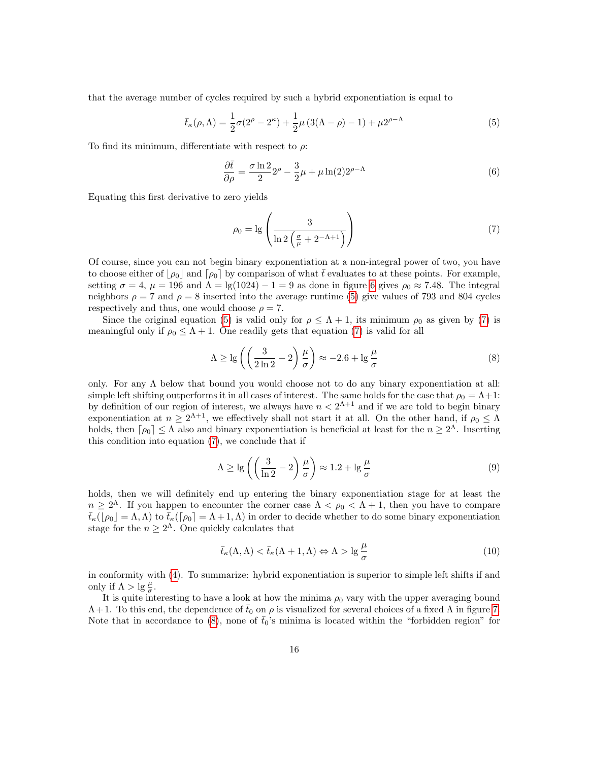that the average number of cycles required by such a hybrid exponentiation is equal to

<span id="page-15-0"></span>
$$
\bar{t}_{\kappa}(\rho,\Lambda) = \frac{1}{2}\sigma(2^{\rho} - 2^{\kappa}) + \frac{1}{2}\mu(3(\Lambda - \rho) - 1) + \mu 2^{\rho - \Lambda}
$$
\n(5)

To find its minimum, differentiate with respect to  $\rho$ :

$$
\frac{\partial \bar{t}}{\partial \rho} = \frac{\sigma \ln 2}{2} 2^{\rho} - \frac{3}{2} \mu + \mu \ln(2) 2^{\rho - \Lambda}
$$
 (6)

Equating this first derivative to zero yields

<span id="page-15-1"></span>
$$
\rho_0 = \lg \left( \frac{3}{\ln 2 \left( \frac{\sigma}{\mu} + 2^{-\Lambda + 1} \right)} \right) \tag{7}
$$

Of course, since you can not begin binary exponentiation at a non-integral power of two, you have to choose either of  $|\rho_0|$  and  $[\rho_0]$  by comparison of what t $\bar{t}$  evaluates to at these points. For example, setting  $\sigma = 4$ ,  $\mu = 196$  and  $\Lambda = \lg(1024) - 1 = 9$  as done in figure [6](#page-14-0) gives  $\rho_0 \approx 7.48$ . The integral neighbors  $\rho = 7$  and  $\rho = 8$  inserted into the average runtime [\(5\)](#page-15-0) give values of 793 and 804 cycles respectively and thus, one would choose  $\rho = 7$ .

Since the original equation [\(5\)](#page-15-0) is valid only for  $\rho \leq \Lambda + 1$ , its minimum  $\rho_0$  as given by [\(7\)](#page-15-1) is meaningful only if  $\rho_0 \leq \Lambda + 1$ . One readily gets that equation [\(7\)](#page-15-1) is valid for all

<span id="page-15-2"></span>
$$
\Lambda \ge \lg \left( \left( \frac{3}{2\ln 2} - 2 \right) \frac{\mu}{\sigma} \right) \approx -2.6 + \lg \frac{\mu}{\sigma} \tag{8}
$$

only. For any  $\Lambda$  below that bound you would choose not to do any binary exponentiation at all: simple left shifting outperforms it in all cases of interest. The same holds for the case that  $\rho_0 = \Lambda + 1$ : by definition of our region of interest, we always have  $n < 2^{\Lambda+1}$  and if we are told to begin binary exponentiation at  $n \geq 2^{\Lambda+1}$ , we effectively shall not start it at all. On the other hand, if  $\rho_0 \leq \Lambda$ holds, then  $\lceil \rho_0 \rceil \leq \Lambda$  also and binary exponentiation is beneficial at least for the  $n \geq 2^{\Lambda}$ . Inserting this condition into equation [\(7\)](#page-15-1), we conclude that if

$$
\Lambda \ge \lg \left( \left( \frac{3}{\ln 2} - 2 \right) \frac{\mu}{\sigma} \right) \approx 1.2 + \lg \frac{\mu}{\sigma} \tag{9}
$$

holds, then we will definitely end up entering the binary exponentiation stage for at least the  $n \geq 2^{\Lambda}$ . If you happen to encounter the corner case  $\Lambda < \rho_0 < \Lambda + 1$ , then you have to compare  $\bar{t}_{\kappa}(|\rho_0| = \Lambda, \Lambda)$  to  $\bar{t}_{\kappa}([\rho_0] = \Lambda + 1, \Lambda)$  in order to decide whether to do some binary exponentiation stage for the  $n \geq 2^{\Lambda}$ . One quickly calculates that

<span id="page-15-3"></span>
$$
\bar{t}_{\kappa}(\Lambda, \Lambda) < \bar{t}_{\kappa}(\Lambda + 1, \Lambda) \Leftrightarrow \Lambda > \lg \frac{\mu}{\sigma} \tag{10}
$$

in conformity with [\(4\)](#page-14-1). To summarize: hybrid exponentiation is superior to simple left shifts if and only if  $\Lambda > \lg \frac{\mu}{\sigma}$ .

It is quite interesting to have a look at how the minima  $\rho_0$  vary with the upper averaging bound  $\Lambda + 1$ . To this end, the dependence of  $\bar{t}_0$  on  $\rho$  is visualized for several choices of a fixed  $\Lambda$  in figure [7.](#page-16-0) Note that in accordance to  $(8)$ , none of  $t<sub>0</sub>'s$  minima is located within the "forbidden region" for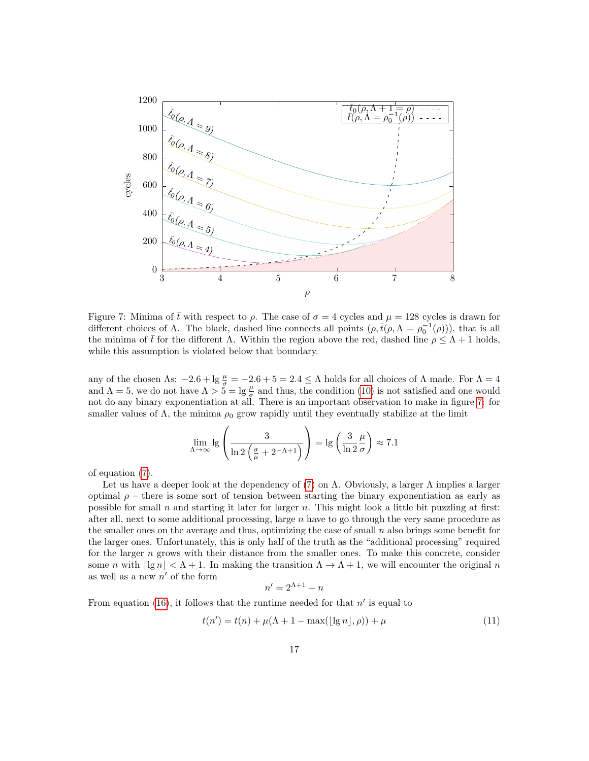

<span id="page-16-0"></span>Figure 7: Minima of  $\bar{t}$  with respect to  $\rho$ . The case of  $\sigma = 4$  cycles and  $\mu = 128$  cycles is drawn for different choices of  $\Lambda$ . The black, dashed line connects all points  $(\rho, \bar{t}(\rho, \Lambda = \rho_0^{-1}(\rho)))$ , that is all the minima of  $\bar{t}$  for the different  $\Lambda$ . Within the region above the red, dashed line  $\rho \leq \Lambda + 1$  holds, while this assumption is violated below that boundary.

any of the chosen  $\Lambda$ s:  $-2.6 + \lg \frac{\mu}{\sigma} = -2.6 + 5 = 2.4 \leq \Lambda$  holds for all choices of  $\Lambda$  made. For  $\Lambda = 4$ and  $\Lambda = 5$ , we do not have  $\Lambda > 5 = \lg \frac{\mu}{\sigma}$  and thus, the condition [\(10\)](#page-15-3) is not satisfied and one would not do any binary exponentiation at all. There is an important observation to make in figure [7:](#page-16-0) for smaller values of  $\Lambda$ , the minima  $\rho_0$  grow rapidly until they eventually stabilize at the limit

$$
\lim_{\Lambda \to \infty} \lg \left( \frac{3}{\ln 2 \left( \frac{\sigma}{\mu} + 2^{-\Lambda + 1} \right)} \right) = \lg \left( \frac{3}{\ln 2} \frac{\mu}{\sigma} \right) \approx 7.1
$$

of equation [\(7\)](#page-15-1).

Let us have a deeper look at the dependency of [\(7\)](#page-15-1) on  $\Lambda$ . Obviously, a larger  $\Lambda$  implies a larger optimal  $\rho$  – there is some sort of tension between starting the binary exponentiation as early as possible for small  $n$  and starting it later for larger  $n$ . This might look a little bit puzzling at first: after all, next to some additional processing, large  $n$  have to go through the very same procedure as the smaller ones on the average and thus, optimizing the case of small  $n$  also brings some benefit for the larger ones. Unfortunately, this is only half of the truth as the "additional processing" required for the larger  $n$  grows with their distance from the smaller ones. To make this concrete, consider some n with  $|\lg n| < \Lambda + 1$ . In making the transition  $\Lambda \to \Lambda + 1$ , we will encounter the original n as well as a new  $n'$  of the form

$$
n' = 2^{\Lambda + 1} + n
$$

From equation [\(16\)](#page-21-0), it follows that the runtime needed for that  $n'$  is equal to

<span id="page-16-1"></span>
$$
t(n') = t(n) + \mu(\Lambda + 1 - \max(\lfloor \lg n \rfloor, \rho)) + \mu \tag{11}
$$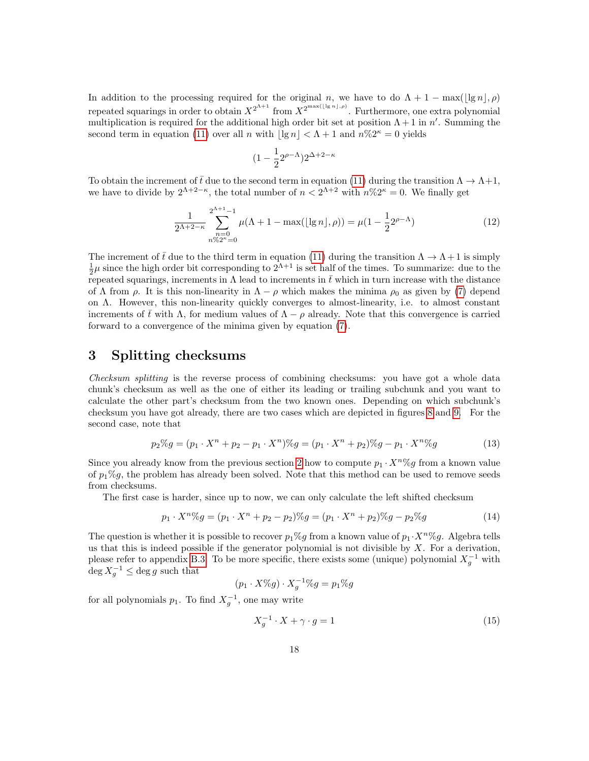In addition to the processing required for the original n, we have to do  $\Lambda + 1 - \max(|\lg n|, \rho)$ repeated squarings in order to obtain  $X^{2^{n+1}}$  from  $X^{2^{\max(\lfloor \lg n \rfloor, \rho)}}$ . Furthermore, one extra polynomial multiplication is required for the additional high order bit set at position  $\Lambda + 1$  in n'. Summing the second term in equation [\(11\)](#page-16-1) over all n with  $|\lg n| < \Lambda + 1$  and  $n\%2^k = 0$  yields

$$
(1-\frac{1}{2}2^{\rho-\Lambda})2^{\Delta+2-\kappa}
$$

To obtain the increment of  $\bar{t}$  due to the second term in equation [\(11\)](#page-16-1) during the transition  $\Lambda \to \Lambda + 1$ , we have to divide by  $2^{\Lambda+2-\kappa}$ , the total number of  $n < 2^{\Lambda+2}$  with  $n\%2^{\kappa} = 0$ . We finally get

$$
\frac{1}{2^{\Lambda+2-\kappa}} \sum_{\substack{n=0\\n\%2^{\kappa}=0}}^{2^{\Lambda+1}-1} \mu(\Lambda+1-\max(\lfloor \lg n \rfloor, \rho)) = \mu(1-\frac{1}{2}2^{\rho-\Lambda})
$$
(12)

The increment of  $\bar{t}$  due to the third term in equation [\(11\)](#page-16-1) during the transition  $\Lambda \to \Lambda + 1$  is simply  $\frac{1}{2}\mu$  since the high order bit corresponding to  $2^{\Lambda+1}$  is set half of the times. To summarize: due to the repeated squarings, increments in  $\Lambda$  lead to increments in  $\bar{t}$  which in turn increase with the distance of  $\Lambda$  from  $\rho$ . It is this non-linearity in  $\Lambda - \rho$  which makes the minima  $\rho_0$  as given by [\(7\)](#page-15-1) depend on Λ. However, this non-linearity quickly converges to almost-linearity, i.e. to almost constant increments of  $\bar{t}$  with  $\Lambda$ , for medium values of  $\Lambda - \rho$  already. Note that this convergence is carried forward to a convergence of the minima given by equation [\(7\)](#page-15-1).

## <span id="page-17-0"></span>3 Splitting checksums

Checksum splitting is the reverse process of combining checksums: you have got a whole data chunk's checksum as well as the one of either its leading or trailing subchunk and you want to calculate the other part's checksum from the two known ones. Depending on which subchunk's checksum you have got already, there are two cases which are depicted in figures [8](#page-18-0) and [9.](#page-19-0) For the second case, note that

$$
p_2\%g = (p_1 \cdot X^n + p_2 - p_1 \cdot X^n)\%g = (p_1 \cdot X^n + p_2)\%g - p_1 \cdot X^n\%g \tag{13}
$$

Since you already know from the previous section [2](#page-2-1) how to compute  $p_1 \cdot X^n \%$  from a known value of  $p_1\%g$ , the problem has already been solved. Note that this method can be used to remove seeds from checksums.

The first case is harder, since up to now, we can only calculate the left shifted checksum

<span id="page-17-1"></span>
$$
p_1 \cdot X^n \% g = (p_1 \cdot X^n + p_2 - p_2) \% g = (p_1 \cdot X^n + p_2) \% g - p_2 \% g \tag{14}
$$

The question is whether it is possible to recover  $p_1\%g$  from a known value of  $p_1 \cdot X^n\%g$ . Algebra tells us that this is indeed possible if the generator polynomial is not divisible by  $X$ . For a derivation, please refer to appendix [B.3.](#page-27-0) To be more specific, there exists some (unique) polynomial  $X_g^{-1}$  with  $\deg X_g^{-1} \leq \deg g$  such that

$$
(p_1 \cdot X\%g) \cdot X_g^{-1}\%g = p_1\%g
$$

for all polynomials  $p_1$ . To find  $X_g^{-1}$ , one may write

$$
X_g^{-1} \cdot X + \gamma \cdot g = 1\tag{15}
$$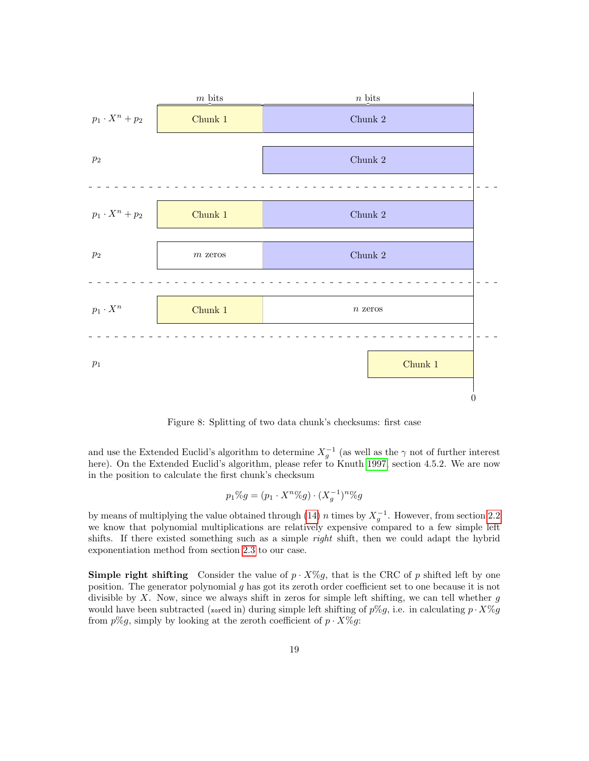

<span id="page-18-0"></span>Figure 8: Splitting of two data chunk's checksums: first case

and use the Extended Euclid's algorithm to determine  $X_g^{-1}$  (as well as the  $\gamma$  not of further interest here). On the Extended Euclid's algorithm, please refer to Knuth [1997,](#page-31-3) section 4.5.2. We are now in the position to calculate the first chunk's checksum

$$
p_1\%g = (p_1 \cdot X^n\%g) \cdot (X_g^{-1})^n\%g
$$

by means of multiplying the value obtained through [\(14\)](#page-17-1) n times by  $X_g^{-1}$ . However, from section [2.2](#page-11-0) we know that polynomial multiplications are relatively expensive compared to a few simple left shifts. If there existed something such as a simple *right* shift, then we could adapt the hybrid exponentiation method from section [2.3](#page-13-0) to our case.

**Simple right shifting** Consider the value of  $p \cdot X\%g$ , that is the CRC of p shifted left by one position. The generator polynomial g has got its zeroth order coefficient set to one because it is not divisible by  $X$ . Now, since we always shift in zeros for simple left shifting, we can tell whether  $g$ would have been subtracted (xored in) during simple left shifting of  $p\%g$ , i.e. in calculating  $p \cdot X\%g$ from  $p\%g$ , simply by looking at the zeroth coefficient of  $p \cdot X\%g$ :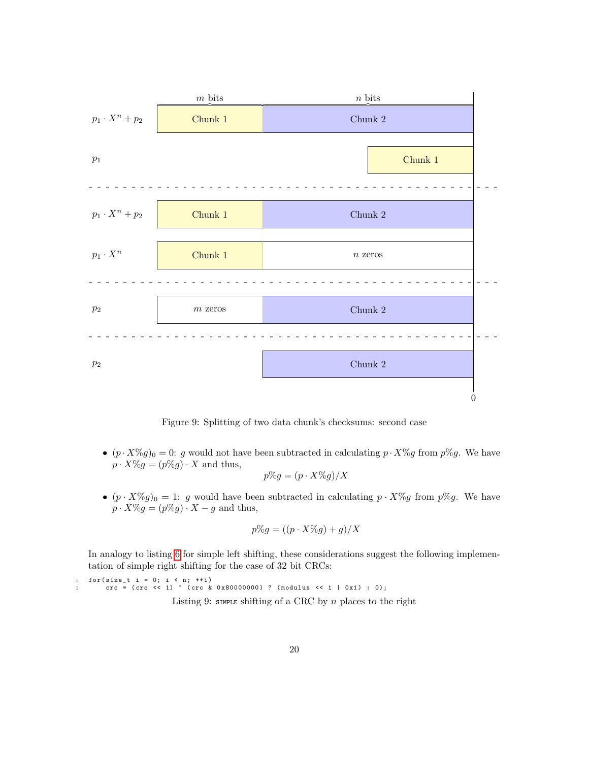

<span id="page-19-0"></span>Figure 9: Splitting of two data chunk's checksums: second case

•  $(p \cdot X\%g)_0 = 0$ : g would not have been subtracted in calculating  $p \cdot X\%g$  from  $p\%g$ . We have  $p \cdot X\%g = (p\%g) \cdot X$  and thus,

$$
p\%g = (p \cdot X\%g)/X
$$

•  $(p \cdot X\%g)_0 = 1: g$  would have been subtracted in calculating  $p \cdot X\%g$  from  $p\%g$ . We have  $p \cdot X \% g = (p \% g) \cdot X - g$  and thus,

$$
p\%g = ((p \cdot X\%g) + g)/X
$$

In analogy to listing [6](#page-11-2) for simple left shifting, these considerations suggest the following implementation of simple right shifting for the case of 32 bit CRCs:

<span id="page-19-1"></span> $for (size_t i = 0; i < n; ++i)$ 2 crc = (crc << 1) ^ (crc & 0x80000000) ? (modulus << 1 | 0x1) : 0); Listing 9: SIMPLE shifting of a CRC by  $n$  places to the right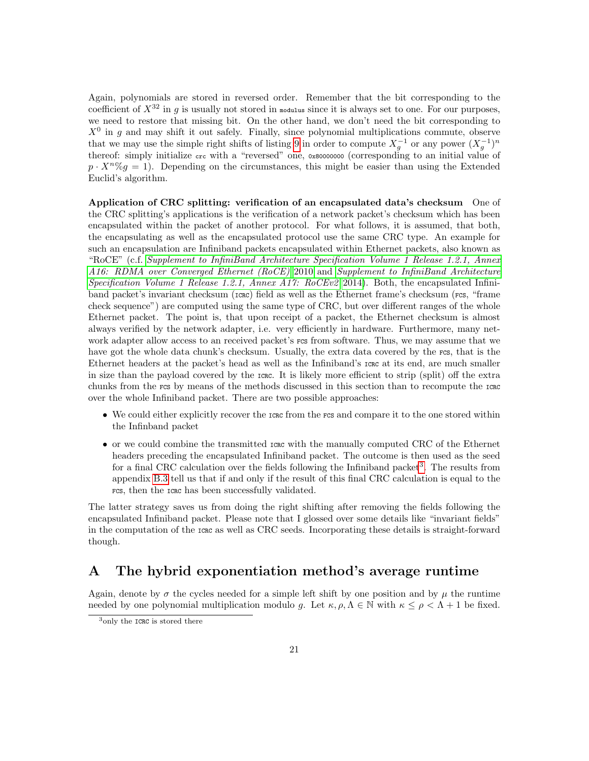Again, polynomials are stored in reversed order. Remember that the bit corresponding to the coefficient of  $X^{32}$  in g is usually not stored in modulus since it is always set to one. For our purposes, we need to restore that missing bit. On the other hand, we don't need the bit corresponding to  $X^0$  in g and may shift it out safely. Finally, since polynomial multiplications commute, observe that we may use the simple right shifts of listing [9](#page-19-1) in order to compute  $X_g^{-1}$  or any power  $(X_g^{-1})^n$ thereof: simply initialize crc with a "reversed" one, 0x80000000 (corresponding to an initial value of  $p \cdot X^n \% g = 1$ . Depending on the circumstances, this might be easier than using the Extended Euclid's algorithm.

Application of CRC splitting: verification of an encapsulated data's checksum One of the CRC splitting's applications is the verification of a network packet's checksum which has been encapsulated within the packet of another protocol. For what follows, it is assumed, that both, the encapsulating as well as the encapsulated protocol use the same CRC type. An example for such an encapsulation are Infiniband packets encapsulated within Ethernet packets, also known as "RoCE" (c.f. [Supplement to InfiniBand Architecture Specification Volume 1 Release 1.2.1, Annex](#page-31-8) [A16: RDMA over Converged Ethernet \(RoCE\)](#page-31-8) [2010](#page-31-8) and [Supplement to InfiniBand Architecture](#page-31-9) Specification Volume 1 Release 1.2.1, Annex A17:  $RoCEv2$  [2014\)](#page-31-9). Both, the encapsulated Infiniband packet's invariant checksum ( $r$ ckc) field as well as the Ethernet frame's checksum ( $r$ cs, "frame check sequence") are computed using the same type of CRC, but over different ranges of the whole Ethernet packet. The point is, that upon receipt of a packet, the Ethernet checksum is almost always verified by the network adapter, i.e. very efficiently in hardware. Furthermore, many network adapter allow access to an received packet's rcs from software. Thus, we may assume that we have got the whole data chunk's checksum. Usually, the extra data covered by the rcs, that is the Ethernet headers at the packet's head as well as the Infiniband's ICRC at its end, are much smaller in size than the payload covered by the ICRC. It is likely more efficient to strip (split) off the extra chunks from the FCS by means of the methods discussed in this section than to recompute the ICRC over the whole Infiniband packet. There are two possible approaches:

- We could either explicitly recover the react from the rest and compare it to the one stored within the Infinband packet
- or we could combine the transmitted ICRC with the manually computed CRC of the Ethernet headers preceding the encapsulated Infiniband packet. The outcome is then used as the seed for a final CRC calculation over the fields following the Infiniband packet<sup>[3](#page-20-1)</sup>. The results from appendix [B.3](#page-27-0) tell us that if and only if the result of this final CRC calculation is equal to the FCS, then the ICRC has been successfully validated.

The latter strategy saves us from doing the right shifting after removing the fields following the encapsulated Infiniband packet. Please note that I glossed over some details like "invariant fields" in the computation of the  $\text{trace}$  as well as CRC seeds. Incorporating these details is straight-forward though.

## <span id="page-20-0"></span>A The hybrid exponentiation method's average runtime

Again, denote by  $\sigma$  the cycles needed for a simple left shift by one position and by  $\mu$  the runtime needed by one polynomial multiplication modulo g. Let  $\kappa, \rho, \Lambda \in \mathbb{N}$  with  $\kappa \leq \rho < \Lambda + 1$  be fixed.

<span id="page-20-1"></span><sup>3</sup>only the ICRC is stored there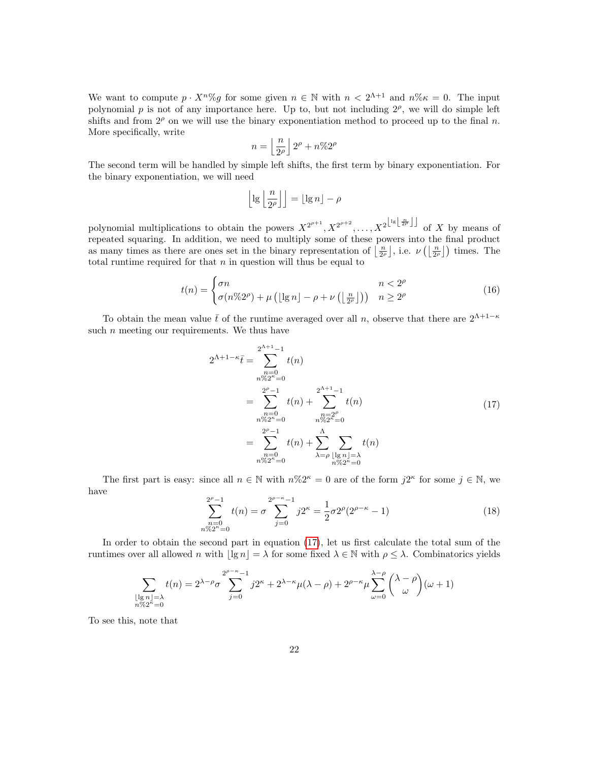We want to compute  $p \cdot X^n \% g$  for some given  $n \in \mathbb{N}$  with  $n < 2^{\Lambda+1}$  and  $n \% \kappa = 0$ . The input polynomial p is not of any importance here. Up to, but not including  $2^{\rho}$ , we will do simple left shifts and from  $2^p$  on we will use the binary exponentiation method to proceed up to the final n. More specifically, write

$$
n = \left\lfloor \frac{n}{2^{\rho}} \right\rfloor 2^{\rho} + n \% 2^{\rho}
$$

The second term will be handled by simple left shifts, the first term by binary exponentiation. For the binary exponentiation, we will need

$$
\left\lfloor \lg \left\lfloor \frac{n}{2^{\rho}} \right\rfloor \right\rfloor = \left\lfloor \lg n \right\rfloor - \rho
$$

polynomial multiplications to obtain the powers  $X^{2^{p+1}}, X^{2^{p+2}}, \ldots, X^{2^{\lfloor \lg \lfloor \frac{n}{2^p} \rfloor \rfloor}}$  of X by means of repeated squaring. In addition, we need to multiply some of these powers into the final product as many times as there are ones set in the binary representation of  $\left\lfloor \frac{n}{2^{\rho}} \right\rfloor$ , i.e.  $\nu$   $\left( \left\lfloor \frac{n}{2^{\rho}} \right\rfloor \right)$  times. The total runtime required for that  $n$  in question will thus be equal to

<span id="page-21-0"></span>
$$
t(n) = \begin{cases} \sigma n & n < 2^{\rho} \\ \sigma(n\%2^{\rho}) + \mu\left(\lfloor \lg n \rfloor - \rho + \nu\left(\lfloor \frac{n}{2^{\rho}} \rfloor\right)\right) & n \ge 2^{\rho} \end{cases}
$$
(16)

To obtain the mean value  $\bar{t}$  of the runtime averaged over all n, observe that there are  $2^{\Lambda+1-\kappa}$ such  $n$  meeting our requirements. We thus have

$$
2^{\Lambda+1-\kappa}\bar{t} = \sum_{\substack{n=0 \ n\%2^{\kappa}=0}}^{2^{\Lambda+1}-1} t(n)
$$
  
\n
$$
= \sum_{\substack{n=0 \ n\%2^{\kappa}=0}}^{2^{\rho}-1} t(n) + \sum_{\substack{n=2^{\rho} \ n\%2^{\kappa}=0}}^{2^{\Lambda+1}-1} t(n)
$$
  
\n
$$
= \sum_{\substack{n\%2^{\kappa}=0}}^{2^{\rho}-1} t(n) + \sum_{\substack{n\%2^{\kappa}=0}}^{n} \sum_{\substack{n\%2^{\kappa}=0}} t(n)
$$
  
\n(17)

<span id="page-21-1"></span>The first part is easy: since all  $n \in \mathbb{N}$  with  $n\%2^{\kappa} = 0$  are of the form  $j2^{\kappa}$  for some  $j \in \mathbb{N}$ , we have

<span id="page-21-2"></span>
$$
\sum_{\substack{n=0\\n\%2^{\kappa}=0}}^{2^{\rho-1}} t(n) = \sigma \sum_{j=0}^{2^{\rho-\kappa}-1} j2^{\kappa} = \frac{1}{2} \sigma 2^{\rho} (2^{\rho-\kappa}-1)
$$
\n(18)

In order to obtain the second part in equation [\(17\)](#page-21-1), let us first calculate the total sum of the runtimes over all allowed n with  $\lfloor \lg n \rfloor = \lambda$  for some fixed  $\lambda \in \mathbb{N}$  with  $\rho \leq \lambda$ . Combinatorics yields

$$
\sum_{\substack{\lfloor \lg n \rfloor = \lambda \\ n \gg 2^{\kappa} = 0}} t(n) = 2^{\lambda - \rho} \sigma \sum_{j=0}^{2^{\rho - \kappa} - 1} j 2^{\kappa} + 2^{\lambda - \kappa} \mu(\lambda - \rho) + 2^{\rho - \kappa} \mu \sum_{\omega = 0}^{\lambda - \rho} {\lambda - \rho \choose \omega} (\omega + 1)
$$

To see this, note that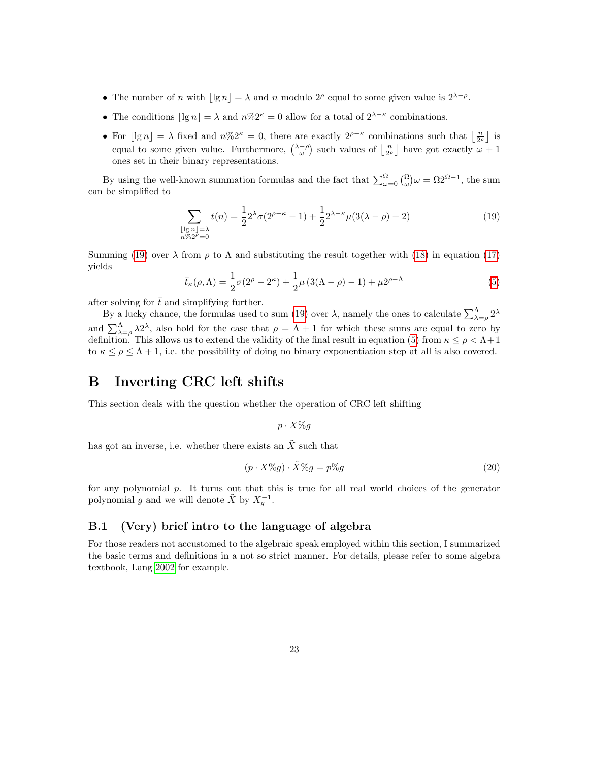- The number of n with  $\lfloor \lg n \rfloor = \lambda$  and n modulo 2<sup>ρ</sup> equal to some given value is  $2^{\lambda-\rho}$ .
- The conditions  $\lfloor \lg n \rfloor = \lambda$  and  $n\%2^k = 0$  allow for a total of  $2^{\lambda \kappa}$  combinations.
- For  $\lfloor \lg n \rfloor = \lambda$  fixed and  $n\%2^{\kappa} = 0$ , there are exactly  $2^{\rho-\kappa}$  combinations such that  $\lfloor \frac{n}{2^{\rho}} \rfloor$  is equal to some given value. Furthermore,  $\binom{\lambda-\rho}{\omega}$  such values of  $\lfloor \frac{n}{2\rho} \rfloor$  have got exactly  $\omega+1$ ones set in their binary representations.

By using the well-known summation formulas and the fact that  $\sum_{\omega=0}^{\Omega} \binom{\Omega}{\omega} \omega = \Omega 2^{\Omega-1}$ , the sum can be simplified to

<span id="page-22-2"></span>
$$
\sum_{\substack{\lfloor \lg n \rfloor = \lambda \\ n \% 2^{\rho} = 0}} t(n) = \frac{1}{2} 2^{\lambda} \sigma (2^{\rho - \kappa} - 1) + \frac{1}{2} 2^{\lambda - \kappa} \mu (3(\lambda - \rho) + 2) \tag{19}
$$

Summing [\(19\)](#page-22-2) over  $\lambda$  from  $\rho$  to  $\Lambda$  and substituting the result together with [\(18\)](#page-21-2) in equation [\(17\)](#page-21-1) yields

$$
\bar{t}_{\kappa}(\rho,\Lambda) = \frac{1}{2}\sigma(2^{\rho} - 2^{\kappa}) + \frac{1}{2}\mu(3(\Lambda - \rho) - 1) + \mu 2^{\rho - \Lambda}
$$
\n(5)

after solving for  $\bar{t}$  and simplifying further.

By a lucky chance, the formulas used to sum [\(19\)](#page-22-2) over  $\lambda$ , namely the ones to calculate  $\sum_{\lambda=\rho}^{\Lambda} 2^{\lambda}$ and  $\sum_{\lambda=\rho}^{\Lambda} \lambda 2^{\lambda}$ , also hold for the case that  $\rho = \Lambda + 1$  for which these sums are equal to zero by definition. This allows us to extend the validity of the final result in equation [\(5\)](#page-15-0) from  $\kappa \leq \rho < \Lambda + 1$ to  $\kappa \leq \rho \leq \Lambda + 1$ , i.e. the possibility of doing no binary exponentiation step at all is also covered.

## <span id="page-22-0"></span>B Inverting CRC left shifts

This section deals with the question whether the operation of CRC left shifting

$$
p \cdot X \% g
$$

has got an inverse, i.e. whether there exists an  $\tilde{X}$  such that

$$
(p \cdot X\%g) \cdot \tilde{X}\%g = p\%g \tag{20}
$$

for any polynomial p. It turns out that this is true for all real world choices of the generator polynomial g and we will denote  $\tilde{X}$  by  $X_g^{-1}$ .

## <span id="page-22-1"></span>B.1 (Very) brief intro to the language of algebra

For those readers not accustomed to the algebraic speak employed within this section, I summarized the basic terms and definitions in a not so strict manner. For details, please refer to some algebra textbook, Lang [2002](#page-31-10) for example.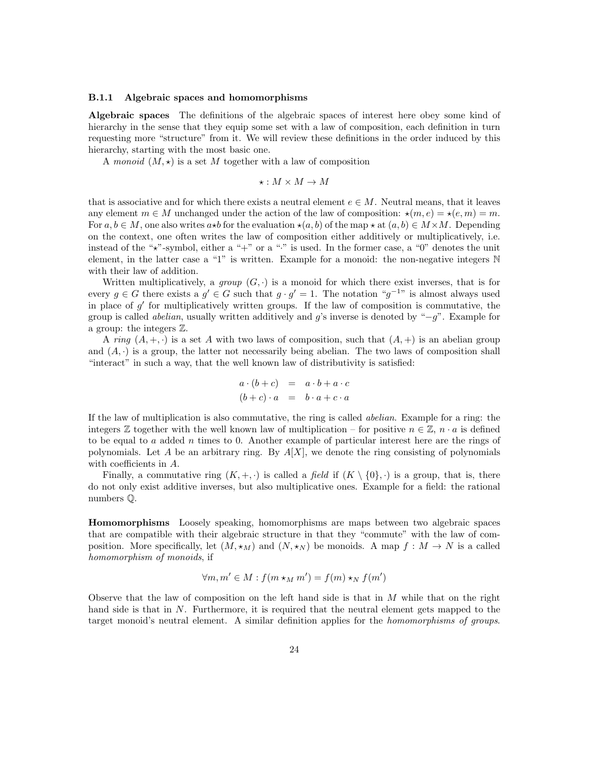### <span id="page-23-0"></span>B.1.1 Algebraic spaces and homomorphisms

Algebraic spaces The definitions of the algebraic spaces of interest here obey some kind of hierarchy in the sense that they equip some set with a law of composition, each definition in turn requesting more "structure" from it. We will review these definitions in the order induced by this hierarchy, starting with the most basic one.

A monoid  $(M, \star)$  is a set M together with a law of composition

$$
\star : M \times M \to M
$$

that is associative and for which there exists a neutral element  $e \in M$ . Neutral means, that it leaves any element  $m \in M$  unchanged under the action of the law of composition:  $\star(m, e) = \star(e, m) = m$ . For  $a, b \in M$ , one also writes  $a \star b$  for the evaluation  $\star(a, b)$  of the map  $\star$  at  $(a, b) \in M \times M$ . Depending on the context, one often writes the law of composition either additively or multiplicatively, i.e. instead of the " $\star$ "-symbol, either a "+" or a ":" is used. In the former case, a "0" denotes the unit element, in the latter case a "1" is written. Example for a monoid: the non-negative integers  $\mathbb N$ with their law of addition.

Written multiplicatively, a group  $(G, \cdot)$  is a monoid for which there exist inverses, that is for every  $g \in G$  there exists a  $g' \in G$  such that  $g \cdot g' = 1$ . The notation " $g^{-1}$ " is almost always used in place of  $g'$  for multiplicatively written groups. If the law of composition is commutative, the group is called *abelian*, usually written additively and  $g$ 's inverse is denoted by " $-g$ ". Example for a group: the integers Z.

A ring  $(A, +, \cdot)$  is a set A with two laws of composition, such that  $(A, +)$  is an abelian group and  $(A, \cdot)$  is a group, the latter not necessarily being abelian. The two laws of composition shall "interact" in such a way, that the well known law of distributivity is satisfied:

$$
a \cdot (b+c) = a \cdot b + a \cdot c
$$
  

$$
(b+c) \cdot a = b \cdot a + c \cdot a
$$

If the law of multiplication is also commutative, the ring is called abelian. Example for a ring: the integers  $\mathbb Z$  together with the well known law of multiplication – for positive  $n \in \mathbb Z$ ,  $n \cdot a$  is defined to be equal to a added n times to 0. Another example of particular interest here are the rings of polynomials. Let A be an arbitrary ring. By  $A[X]$ , we denote the ring consisting of polynomials with coefficients in A.

Finally, a commutative ring  $(K, +, \cdot)$  is called a field if  $(K \setminus \{0\}, \cdot)$  is a group, that is, there do not only exist additive inverses, but also multiplicative ones. Example for a field: the rational numbers Q.

Homomorphisms Loosely speaking, homomorphisms are maps between two algebraic spaces that are compatible with their algebraic structure in that they "commute" with the law of composition. More specifically, let  $(M, \star_M)$  and  $(N, \star_N)$  be monoids. A map  $f : M \to N$  is a called homomorphism of monoids, if

$$
\forall m, m' \in M : f(m \star_M m') = f(m) \star_N f(m')
$$

Observe that the law of composition on the left hand side is that in  $M$  while that on the right hand side is that in N. Furthermore, it is required that the neutral element gets mapped to the target monoid's neutral element. A similar definition applies for the homomorphisms of groups.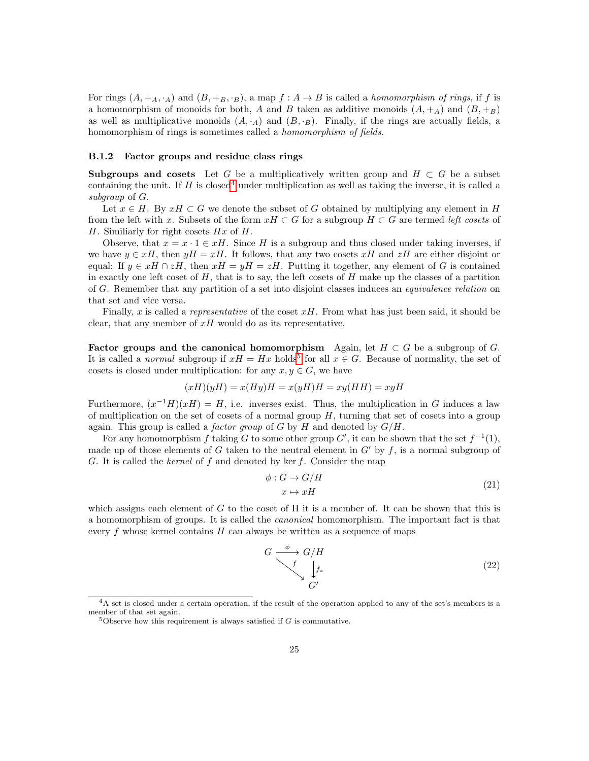For rings  $(A, +_A, \cdot_A)$  and  $(B, +_B, \cdot_B)$ , a map  $f : A \to B$  is called a *homomorphism of rings*, if f is a homomorphism of monoids for both, A and B taken as additive monoids  $(A, +A)$  and  $(B, +B)$ as well as multiplicative monoids  $(A, \cdot_A)$  and  $(B, \cdot_B)$ . Finally, if the rings are actually fields, a homomorphism of rings is sometimes called a homomorphism of fields.

### <span id="page-24-0"></span>B.1.2 Factor groups and residue class rings

Subgroups and cosets Let G be a multiplicatively written group and  $H \subset G$  be a subset containing the unit. If H is closed<sup>[4](#page-24-1)</sup> under multiplication as well as taking the inverse, it is called a subgroup of G.

Let  $x \in H$ . By  $xH \subset G$  we denote the subset of G obtained by multiplying any element in H from the left with x. Subsets of the form  $xH \subset G$  for a subgroup  $H \subset G$  are termed left cosets of H. Similiarly for right cosets  $Hx$  of  $H$ .

Observe, that  $x = x \cdot 1 \in xH$ . Since H is a subgroup and thus closed under taking inverses, if we have  $y \in xH$ , then  $yH = xH$ . It follows, that any two cosets xH and zH are either disjoint or equal: If  $y \in xH \cap zH$ , then  $xH = yH = zH$ . Putting it together, any element of G is contained in exactly one left coset of  $H$ , that is to say, the left cosets of  $H$  make up the classes of a partition of G. Remember that any partition of a set into disjoint classes induces an equivalence relation on that set and vice versa.

Finally, x is called a representative of the coset  $xH$ . From what has just been said, it should be clear, that any member of  $xH$  would do as its representative.

Factor groups and the canonical homomorphism Again, let  $H \subset G$  be a subgroup of G. It is called a *normal* subgroup if  $xH = Hx$  holds<sup>[5](#page-24-2)</sup> for all  $x \in G$ . Because of normality, the set of cosets is closed under multiplication: for any  $x, y \in G$ , we have

$$
(xH)(yH) = x(Hy)H = x(yH)H = xy(HH) = xyH
$$

Furthermore,  $(x^{-1}H)(xH) = H$ , i.e. inverses exist. Thus, the multiplication in G induces a law of multiplication on the set of cosets of a normal group  $H$ , turning that set of cosets into a group again. This group is called a *factor group* of G by H and denoted by  $G/H$ .

For any homomorphism f taking G to some other group G', it can be shown that the set  $f^{-1}(1)$ , made up of those elements of G taken to the neutral element in  $G'$  by f, is a normal subgroup of G. It is called the kernel of f and denoted by ker f. Consider the map

$$
\phi: G \to G/H
$$
  

$$
x \mapsto xH
$$
 (21)

which assigns each element of  $G$  to the coset of H it is a member of. It can be shown that this is a homomorphism of groups. It is called the canonical homomorphism. The important fact is that every f whose kernel contains  $H$  can always be written as a sequence of maps

$$
G \xrightarrow{\phi} G/H
$$
  
\n
$$
\downarrow f_*
$$
  
\n
$$
G'
$$
  
\n(22)

<span id="page-24-1"></span><sup>4</sup>A set is closed under a certain operation, if the result of the operation applied to any of the set's members is a member of that set again.

<span id="page-24-2"></span><sup>&</sup>lt;sup>5</sup>Observe how this requirement is always satisfied if  $G$  is commutative.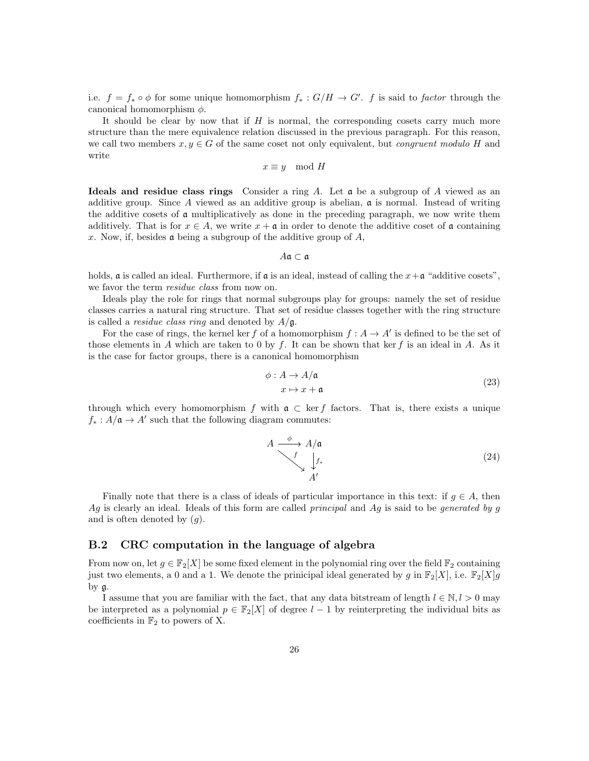i.e.  $f = f_* \circ \phi$  for some unique homomorphism  $f_* : G/H \to G'$ . f is said to factor through the canonical homomorphism  $\phi$ .

It should be clear by now that if  $H$  is normal, the corresponding cosets carry much more structure than the mere equivalence relation discussed in the previous paragraph. For this reason, we call two members  $x, y \in G$  of the same coset not only equivalent, but *congruent modulo H* and write

$$
x \equiv y \mod H
$$

Ideals and residue class rings Consider a ring A. Let  $\mathfrak a$  be a subgroup of A viewed as an additive group. Since A viewed as an additive group is abelian,  $\mathfrak{a}$  is normal. Instead of writing the additive cosets of a multiplicatively as done in the preceding paragraph, we now write them additively. That is for  $x \in A$ , we write  $x + \mathfrak{a}$  in order to denote the additive coset of  $\mathfrak{a}$  containing x. Now, if, besides **a** being a subgroup of the additive group of  $A$ ,

 $A\mathfrak{a} \subset \mathfrak{a}$ 

holds,  $\boldsymbol{\mathfrak{a}}$  is called an ideal. Furthermore, if  $\boldsymbol{\mathfrak{a}}$  is an ideal, instead of calling the  $x+\boldsymbol{\mathfrak{a}}$  "additive cosets", we favor the term *residue class* from now on.

Ideals play the role for rings that normal subgroups play for groups: namely the set of residue classes carries a natural ring structure. That set of residue classes together with the ring structure is called a *residue class ring* and denoted by  $A/g$ .

For the case of rings, the kernel ker f of a homomorphism  $f : A \to A'$  is defined to be the set of those elements in A which are taken to 0 by f. It can be shown that ker f is an ideal in A. As it is the case for factor groups, there is a canonical homomorphism

$$
\phi: A \to A/\mathfrak{a}
$$
  

$$
x \mapsto x + \mathfrak{a}
$$
 (23)

through which every homomorphism f with  $\mathfrak{a} \subset \text{ker } f$  factors. That is, there exists a unique  $f_*: A/\mathfrak{a} \to A'$  such that the following diagram commutes:

$$
A \xrightarrow{\phi} A/\mathfrak{a}
$$
\n
$$
\downarrow f_*
$$
\n
$$
A'
$$
\n(24)

Finally note that there is a class of ideals of particular importance in this text: if  $g \in A$ , then  $Ag$  is clearly an ideal. Ideals of this form are called *principal* and  $Ag$  is said to be *generated by g* and is often denoted by  $(q)$ .

### <span id="page-25-0"></span>B.2 CRC computation in the language of algebra

From now on, let  $g \in \mathbb{F}_2[X]$  be some fixed element in the polynomial ring over the field  $\mathbb{F}_2$  containing just two elements, a 0 and a 1. We denote the prinicipal ideal generated by g in  $\mathbb{F}_2[X]$ , i.e.  $\mathbb{F}_2[X]$ g by g.

I assume that you are familiar with the fact, that any data bitstream of length  $l \in \mathbb{N}, l > 0$  may be interpreted as a polynomial  $p \in \mathbb{F}_2[X]$  of degree  $l-1$  by reinterpreting the individual bits as coefficients in  $\mathbb{F}_2$  to powers of X.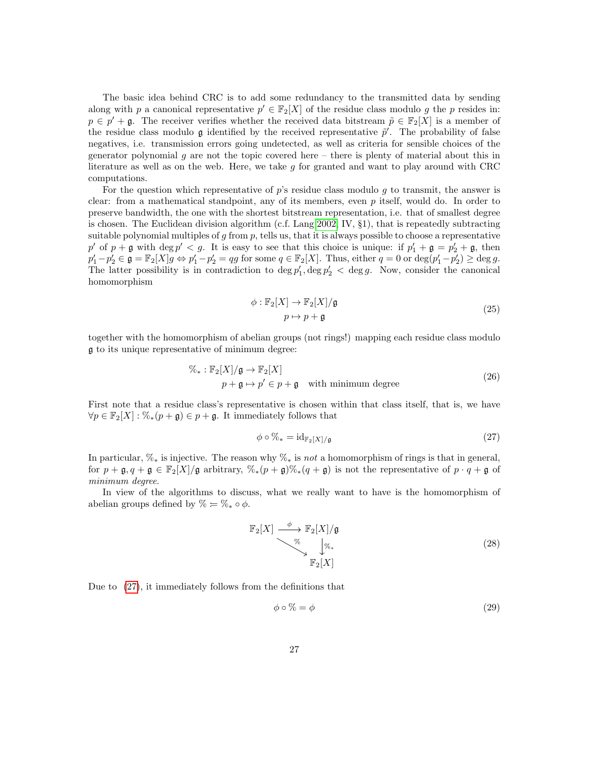The basic idea behind CRC is to add some redundancy to the transmitted data by sending along with p a canonical representative  $p' \in \mathbb{F}_2[X]$  of the residue class modulo g the p resides in:  $p \in p' + \mathfrak{g}$ . The receiver verifies whether the received data bitstream  $\tilde{p} \in \mathbb{F}_2[X]$  is a member of the residue class modulo g identified by the received representative  $\tilde{p}'$ . The probability of false negatives, i.e. transmission errors going undetected, as well as criteria for sensible choices of the generator polynomial  $g$  are not the topic covered here – there is plenty of material about this in literature as well as on the web. Here, we take g for granted and want to play around with CRC computations.

For the question which representative of  $p$ 's residue class modulo  $q$  to transmit, the answer is clear: from a mathematical standpoint, any of its members, even  $p$  itself, would do. In order to preserve bandwidth, the one with the shortest bitstream representation, i.e. that of smallest degree is chosen. The Euclidean division algorithm (c.f. Lang [2002,](#page-31-10) IV, §1), that is repeatedly subtracting suitable polynomial multiples of  $g$  from  $p$ , tells us, that it is always possible to choose a representative p' of  $p + \mathfrak{g}$  with  $\deg p' < g$ . It is easy to see that this choice is unique: if  $p'_1 + \mathfrak{g} = p'_2 + \mathfrak{g}$ , then  $p'_1 - p'_2 \in \mathfrak{g} = \mathbb{F}_2[X]g \Leftrightarrow p'_1 - p'_2 = qg \text{ for some } q \in \mathbb{F}_2[X].$  Thus, either  $q = 0$  or  $\deg(p'_1 - p'_2) \ge \deg g$ . The latter possibility is in contradiction to  $\deg p'_1, \deg p'_2 < \deg g$ . Now, consider the canonical homomorphism

$$
\phi: \mathbb{F}_2[X] \to \mathbb{F}_2[X]/\mathfrak{g}
$$
  

$$
p \mapsto p + \mathfrak{g}
$$
 (25)

together with the homomorphism of abelian groups (not rings!) mapping each residue class modulo g to its unique representative of minimum degree:

$$
\%_{*}: \mathbb{F}_{2}[X]/\mathfrak{g} \to \mathbb{F}_{2}[X]
$$
\n
$$
p + \mathfrak{g} \to p' \in p + \mathfrak{g} \quad \text{with minimum degree} \tag{26}
$$

First note that a residue class's representative is chosen within that class itself, that is, we have  $\forall p \in \mathbb{F}_2[X]: \mathcal{K}_*(p+\mathfrak{g}) \in p+\mathfrak{g}$ . It immediately follows that

<span id="page-26-0"></span>
$$
\phi \circ \%_{*} = id_{\mathbb{F}_2[X]/\mathfrak{g}} \tag{27}
$$

In particular,  $\mathcal{K}_*$  is injective. The reason why  $\mathcal{K}_*$  is not a homomorphism of rings is that in general, for  $p + \mathfrak{g}, q + \mathfrak{g} \in \mathbb{F}_2[X]/\mathfrak{g}$  arbitrary,  $\mathcal{C}_*(p + \mathfrak{g})\mathcal{C}_*(q + \mathfrak{g})$  is not the representative of  $p \cdot q + \mathfrak{g}$  of minimum degree.

In view of the algorithms to discuss, what we really want to have is the homomorphism of abelian groups defined by  $\% = \%_* \circ \phi$ .

$$
\mathbb{F}_2[X] \xrightarrow{\phi} \mathbb{F}_2[X]/\mathfrak{g}
$$
\n
$$
\downarrow^{\%} \qquad \qquad (\text{28})
$$
\n
$$
\mathbb{F}_2[X]
$$

Due to [\(27\)](#page-26-0), it immediately follows from the definitions that

<span id="page-26-1"></span>
$$
\phi \circ \% = \phi \tag{29}
$$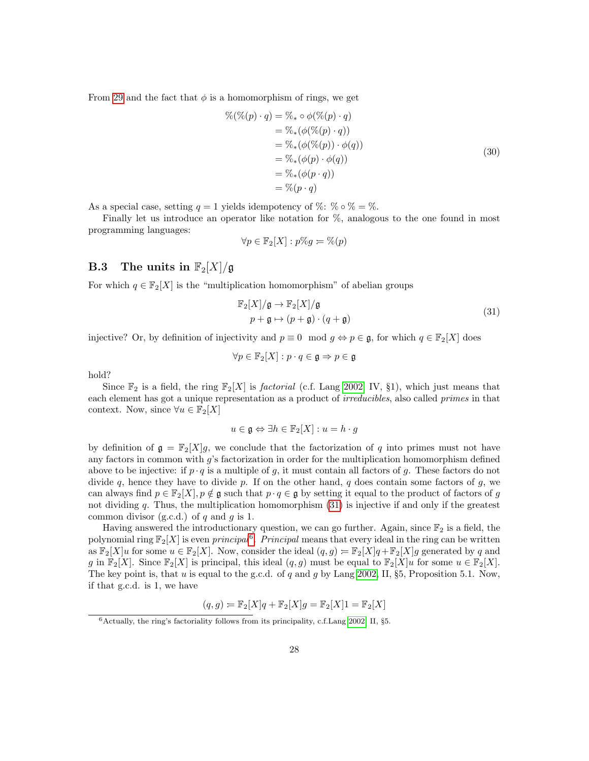<span id="page-27-1"></span>From [29](#page-26-1) and the fact that  $\phi$  is a homomorphism of rings, we get

$$
\begin{aligned}\n\%(\%(p) \cdot q) &= \%_{*} \circ \phi(\%(p) \cdot q) \\
&= \%_{*}(\phi(\%(p) \cdot q)) \\
&= \%_{*}(\phi(\%(p)) \cdot \phi(q)) \\
&= \%_{*}(\phi(p) \cdot \phi(q)) \\
&= \%_{*}(\phi(p \cdot q)) \\
&= \%_{(p \cdot q)}\n\end{aligned} \tag{30}
$$

As a special case, setting  $q = 1$  yields idempotency of %:  $\% \circ \% = \%$ .

Finally let us introduce an operator like notation for %, analogous to the one found in most programming languages:

$$
\forall p \in \mathbb{F}_2[X] : p\%g = \%(p)
$$

## <span id="page-27-0"></span>**B.3** The units in  $\mathbb{F}_2[X]/\mathfrak{g}$

<span id="page-27-2"></span>For which  $q \in \mathbb{F}_2[X]$  is the "multiplication homomorphism" of abelian groups

$$
\mathbb{F}_2[X]/\mathfrak{g} \to \mathbb{F}_2[X]/\mathfrak{g}
$$
  

$$
p + \mathfrak{g} \mapsto (p + \mathfrak{g}) \cdot (q + \mathfrak{g})
$$
 (31)

injective? Or, by definition of injectivity and  $p \equiv 0 \mod g \Leftrightarrow p \in \mathfrak{g}$ , for which  $q \in \mathbb{F}_2[X]$  does

$$
\forall p \in \mathbb{F}_2[X] : p \cdot q \in \mathfrak{g} \Rightarrow p \in \mathfrak{g}
$$

hold?

Since  $\mathbb{F}_2$  is a field, the ring  $\mathbb{F}_2[X]$  is *factorial* (c.f. Lang [2002,](#page-31-10) IV, §1), which just means that each element has got a unique representation as a product of *irreducibles*, also called *primes* in that context. Now, since  $\forall u \in \mathbb{F}_2[X]$ 

$$
u\in \mathfrak{g}\Leftrightarrow \exists h\in \mathbb{F}_2[X]: u=h\cdot g
$$

by definition of  $\mathfrak{g} = \mathbb{F}_2[X]g$ , we conclude that the factorization of q into primes must not have any factors in common with g's factorization in order for the multiplication homomorphism defined above to be injective: if  $p \cdot q$  is a multiple of g, it must contain all factors of g. These factors do not divide q, hence they have to divide p. If on the other hand, q does contain some factors of  $q$ , we can always find  $p \in \mathbb{F}_2[X], p \notin \mathfrak{g}$  such that  $p \cdot q \in \mathfrak{g}$  by setting it equal to the product of factors of g not dividing  $q$ . Thus, the multiplication homomorphism  $(31)$  is injective if and only if the greatest common divisor (g.c.d.) of  $q$  and  $q$  is 1.

Having answered the introductionary question, we can go further. Again, since  $\mathbb{F}_2$  is a field, the polynomial ring  $\mathbb{F}_2[X]$  is even *principal*<sup>[6](#page-27-3)</sup>. Principal means that every ideal in the ring can be written as  $\mathbb{F}_2[X]u$  for some  $u \in \mathbb{F}_2[X]$ . Now, consider the ideal  $(q, g) = \mathbb{F}_2[X]q + \mathbb{F}_2[X]g$  generated by q and g in  $\mathbb{F}_2[X]$ . Since  $\mathbb{F}_2[X]$  is principal, this ideal  $(q, g)$  must be equal to  $\mathbb{F}_2[X]u$  for some  $u \in \mathbb{F}_2[X]$ . The key point is, that u is equal to the g.c.d. of q and g by Lang [2002,](#page-31-10) II, §5, Proposition 5.1. Now, if that g.c.d. is 1, we have

$$
(q,g) = \mathbb{F}_2[X]q + \mathbb{F}_2[X]g = \mathbb{F}_2[X]1 = \mathbb{F}_2[X]
$$

<span id="page-27-3"></span> $6$ Actually, the ring's factoriality follows from its principality, c.f.Lang [2002,](#page-31-10) II, §5.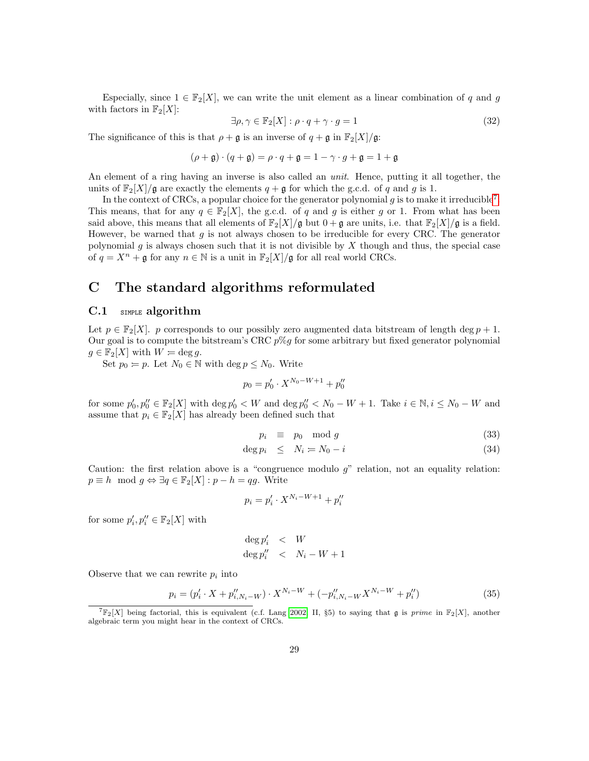Especially, since  $1 \in \mathbb{F}_2[X]$ , we can write the unit element as a linear combination of q and g with factors in  $\mathbb{F}_2[X]$ :

$$
\exists \rho, \gamma \in \mathbb{F}_2[X] : \rho \cdot q + \gamma \cdot g = 1 \tag{32}
$$

The significance of this is that  $\rho + \mathfrak{g}$  is an inverse of  $q + \mathfrak{g}$  in  $\mathbb{F}_2[X]/\mathfrak{g}$ :

$$
(\rho + \mathfrak{g}) \cdot (q + \mathfrak{g}) = \rho \cdot q + \mathfrak{g} = 1 - \gamma \cdot g + \mathfrak{g} = 1 + \mathfrak{g}
$$

An element of a ring having an inverse is also called an *unit*. Hence, putting it all together, the units of  $\mathbb{F}_2[X]/\mathfrak{g}$  are exactly the elements  $q + \mathfrak{g}$  for which the g.c.d. of q and g is 1.

In the context of CRCs, a popular choice for the generator polynomial  $g$  is to make it irreducible<sup>[7](#page-28-2)</sup>. This means, that for any  $q \in \mathbb{F}_2[X]$ , the g.c.d. of q and g is either g or 1. From what has been said above, this means that all elements of  $\mathbb{F}_2[X]/\mathfrak{g}$  but  $0+\mathfrak{g}$  are units, i.e. that  $\mathbb{F}_2[X]/\mathfrak{g}$  is a field. However, be warned that  $g$  is not always chosen to be irreducible for every CRC. The generator polynomial g is always chosen such that it is not divisible by  $X$  though and thus, the special case of  $q = X^n + \mathfrak{g}$  for any  $n \in \mathbb{N}$  is a unit in  $\mathbb{F}_2[X]/\mathfrak{g}$  for all real world CRCs.

## <span id="page-28-0"></span>C The standard algorithms reformulated

## <span id="page-28-1"></span>C.1 SIMPLE algorithm

Let  $p \in \mathbb{F}_2[X]$ . p corresponds to our possibly zero augmented data bitstream of length deg  $p + 1$ . Our goal is to compute the bitstream's CRC  $p\%g$  for some arbitrary but fixed generator polynomial  $g \in \mathbb{F}_2[X]$  with  $W = \deg g$ .

Set  $p_0 = p$ . Let  $N_0 \in \mathbb{N}$  with  $\deg p \leq N_0$ . Write

$$
p_0 = p'_0 \cdot X^{N_0 - W + 1} + p''_0
$$

for some  $p'_0, p''_0 \in \mathbb{F}_2[X]$  with  $\deg p'_0 < W$  and  $\deg p''_0 < N_0 - W + 1$ . Take  $i \in \mathbb{N}, i \leq N_0 - W$  and assume that  $p_i \in \mathbb{F}_2[X]$  has already been defined such that

<span id="page-28-4"></span>
$$
p_i \equiv p_0 \mod g \tag{33}
$$

$$
\deg p_i \leq N_i = N_0 - i \tag{34}
$$

Caution: the first relation above is a "congruence modulo  $g$ " relation, not an equality relation:  $p \equiv h \mod g \Leftrightarrow \exists q \in \mathbb{F}_2[X] : p - h = qg$ . Write

$$
p_i = p'_i \cdot X^{N_i - W + 1} + p''_i
$$

for some  $p'_i, p''_i \in \mathbb{F}_2[X]$  with

$$
\begin{array}{lcl} \deg p'_i & < & W \\ \deg p''_i & < & N_i-W+1 \end{array}
$$

Observe that we can rewrite  $p_i$  into

<span id="page-28-3"></span>
$$
p_i = (p'_i \cdot X + p''_{i,N_i-W}) \cdot X^{N_i-W} + (-p''_{i,N_i-W} X^{N_i-W} + p''_i)
$$
\n(35)

<span id="page-28-2"></span> ${}^{7}F_{2}[X]$  being factorial, this is equivalent (c.f. Lang [2002,](#page-31-10) II, §5) to saying that g is prime in  $F_{2}[X]$ , another algebraic term you might hear in the context of CRCs.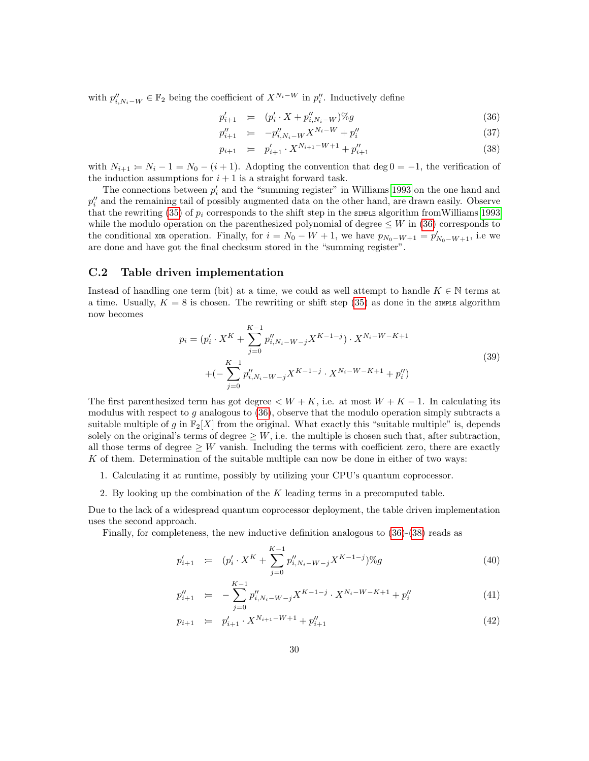with  $p''_{i,N_i-W} \in \mathbb{F}_2$  being the coefficient of  $X^{N_i-W}$  in  $p''_i$ . Inductively define

<span id="page-29-1"></span>
$$
p'_{i+1} = (p'_i \cdot X + p''_{i,N_i-W})\%g \tag{36}
$$

$$
p''_{i+1} = -p''_{i,N_i-W}X^{N_i-W} + p''_i \tag{37}
$$

$$
p_{i+1} = p'_{i+1} \cdot X^{N_{i+1} - W + 1} + p''_{i+1} \tag{38}
$$

with  $N_{i+1} = N_i - 1 = N_0 - (i+1)$ . Adopting the convention that deg  $0 = -1$ , the verification of the induction assumptions for  $i + 1$  is a straight forward task.

The connections between  $p_i'$  and the "summing register" in Williams [1993](#page-31-1) on the one hand and  $p''_i$  and the remaining tail of possibly augmented data on the other hand, are drawn easily. Observe that the rewriting [\(35\)](#page-28-3) of  $p_i$  corresponds to the shift step in the smaller algorithm from Williams [1993](#page-31-1) while the modulo operation on the parenthesized polynomial of degree  $\leq W$  in [\(36\)](#page-29-1) corresponds to the conditional xort operation. Finally, for  $i = N_0 - W + 1$ , we have  $p_{N_0-W+1} = p'_{N_0-W+1}$ , i.e we are done and have got the final checksum stored in the "summing register".

### <span id="page-29-0"></span>C.2 Table driven implementation

Instead of handling one term (bit) at a time, we could as well attempt to handle  $K \in \mathbb{N}$  terms at a time. Usually,  $K = 8$  is chosen. The rewriting or shift step [\(35\)](#page-28-3) as done in the simple algorithm now becomes

$$
p_i = (p'_i \cdot X^K + \sum_{j=0}^{K-1} p''_{i,N_i-W-j} X^{K-1-j}) \cdot X^{N_i-W-K+1}
$$
  
+ 
$$
(-\sum_{j=0}^{K-1} p''_{i,N_i-W-j} X^{K-1-j} \cdot X^{N_i-W-K+1} + p''_i)
$$
 (39)

The first parenthesized term has got degree  $\lt W + K$ , i.e. at most  $W + K - 1$ . In calculating its modulus with respect to  $g$  analogous to  $(36)$ , observe that the modulo operation simply subtracts a suitable multiple of g in  $\mathbb{F}_2[X]$  from the original. What exactly this "suitable multiple" is, depends solely on the original's terms of degree  $\geq W$ , i.e. the multiple is chosen such that, after subtraction, all those terms of degree  $\geq W$  vanish. Including the terms with coefficient zero, there are exactly K of them. Determination of the suitable multiple can now be done in either of two ways:

- 1. Calculating it at runtime, possibly by utilizing your CPU's quantum coprocessor.
- 2. By looking up the combination of the  $K$  leading terms in a precomputed table.

Due to the lack of a widespread quantum coprocessor deployment, the table driven implementation uses the second approach.

Finally, for completeness, the new inductive definition analogous to [\(36\)](#page-29-1)-[\(38\)](#page-29-1) reads as

$$
p'_{i+1} = (p'_i \cdot X^K + \sum_{j=0}^{K-1} p''_{i,N_i-W-j} X^{K-1-j}) \%g \tag{40}
$$

$$
p''_{i+1} = -\sum_{j=0}^{K-1} p''_{i,N_i-W-j} X^{K-1-j} \cdot X^{N_i-W-K+1} + p''_i \tag{41}
$$

$$
p_{i+1} = p'_{i+1} \cdot X^{N_{i+1} - W + 1} + p''_{i+1} \tag{42}
$$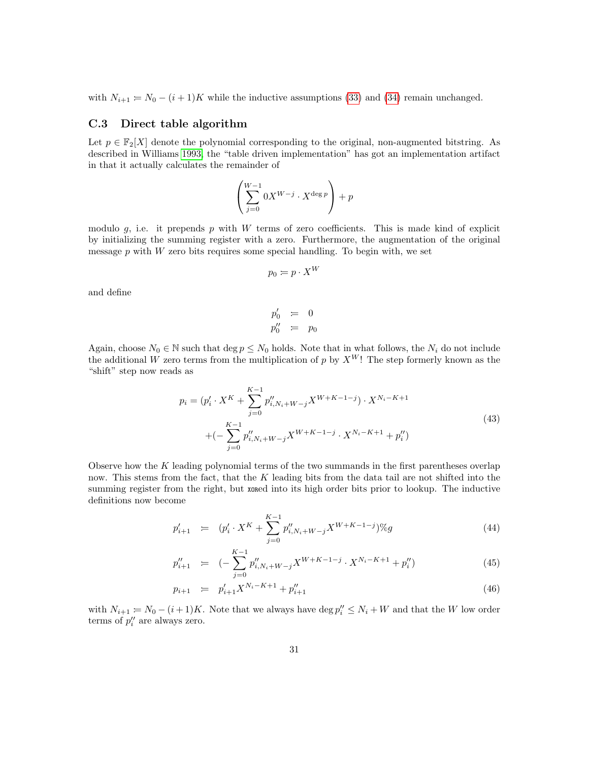with  $N_{i+1} = N_0 - (i+1)K$  while the inductive assumptions [\(33\)](#page-28-4) and [\(34\)](#page-28-4) remain unchanged.

### <span id="page-30-0"></span>C.3 Direct table algorithm

Let  $p \in \mathbb{F}_2[X]$  denote the polynomial corresponding to the original, non-augmented bitstring. As described in Williams [1993,](#page-31-1) the "table driven implementation" has got an implementation artifact in that it actually calculates the remainder of

$$
\left(\sum_{j=0}^{W-1} 0X^{W-j} \cdot X^{\deg p}\right) + p
$$

modulo  $g$ , i.e. it prepends  $p$  with  $W$  terms of zero coefficients. This is made kind of explicit by initializing the summing register with a zero. Furthermore, the augmentation of the original message  $p$  with  $W$  zero bits requires some special handling. To begin with, we set

$$
p_0 = p \cdot X^W
$$

and define

$$
p'_0 = 0
$$
  

$$
p''_0 = p_0
$$

Again, choose  $N_0 \in \mathbb{N}$  such that deg  $p \leq N_0$  holds. Note that in what follows, the  $N_i$  do not include the additional W zero terms from the multiplication of p by  $X^W$ ! The step formerly known as the "shift" step now reads as

$$
p_i = (p'_i \cdot X^K + \sum_{j=0}^{K-1} p''_{i,N_i+W-j} X^{W+K-1-j}) \cdot X^{N_i-K+1}
$$
  
+ 
$$
(-\sum_{j=0}^{K-1} p''_{i,N_i+W-j} X^{W+K-1-j} \cdot X^{N_i-K+1} + p''_i)
$$
 (43)

Observe how the  $K$  leading polynomial terms of the two summands in the first parentheses overlap now. This stems from the fact, that the  $K$  leading bits from the data tail are not shifted into the summing register from the right, but xored into its high order bits prior to lookup. The inductive definitions now become

$$
p'_{i+1} = (p'_i \cdot X^K + \sum_{j=0}^{K-1} p''_{i,N_i+W-j} X^{W+K-1-j})\%g
$$
\n(44)

$$
p''_{i+1} = (-\sum_{j=0}^{K-1} p''_{i,N_i+W-j} X^{W+K-1-j} \cdot X^{N_i-K+1} + p''_i)
$$
\n(45)

$$
p_{i+1} = p'_{i+1} X^{N_i - K + 1} + p''_{i+1}
$$
\n(46)

with  $N_{i+1} = N_0 - (i+1)K$ . Note that we always have  $\deg p''_i \leq N_i + W$  and that the W low order terms of  $p_i''$  are always zero.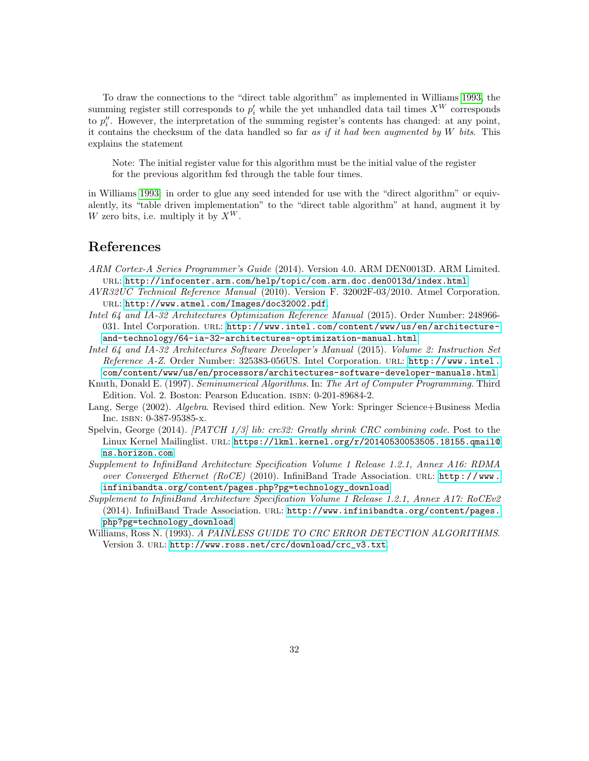To draw the connections to the "direct table algorithm" as implemented in Williams [1993,](#page-31-1) the summing register still corresponds to  $p'_i$  while the yet unhandled data tail times  $X^W$  corresponds to  $p''_i$ . However, the interpretation of the summing register's contents has changed: at any point, it contains the checksum of the data handled so far as if it had been augmented by  $W$  bits. This explains the statement

Note: The initial register value for this algorithm must be the initial value of the register for the previous algorithm fed through the table four times.

in Williams [1993:](#page-31-1) in order to glue any seed intended for use with the "direct algorithm" or equivalently, its "table driven implementation" to the "direct table algorithm" at hand, augment it by W zero bits, i.e. multiply it by  $X^W$ .

## <span id="page-31-0"></span>References

- <span id="page-31-6"></span>ARM Cortex-A Series Programmer's Guide (2014). Version 4.0. ARM DEN0013D. ARM Limited. url: <http://infocenter.arm.com/help/topic/com.arm.doc.den0013d/index.html>.
- <span id="page-31-7"></span>AVR32UC Technical Reference Manual (2010). Version F. 32002F-03/2010. Atmel Corporation. url: <http://www.atmel.com/Images/doc32002.pdf>.
- <span id="page-31-4"></span>Intel 64 and IA-32 Architectures Optimization Reference Manual (2015). Order Number: 248966- 031. Intel Corporation. url: [http://www.intel.com/content/www/us/en/architecture](http://www.intel.com/content/www/us/en/architecture-and-technology/64-ia-32-architectures-optimization-manual.html)[and-technology/64-ia-32-architectures-optimization-manual.html](http://www.intel.com/content/www/us/en/architecture-and-technology/64-ia-32-architectures-optimization-manual.html).
- <span id="page-31-5"></span>Intel 64 and IA-32 Architectures Software Developer's Manual (2015). Volume 2: Instruction Set Reference A-Z. Order Number: 325383-056US. Intel Corporation. url: [http://www.intel.](http://www.intel.com/content/www/us/en/processors/architectures-software-developer-manuals.html) [com/content/www/us/en/processors/architectures-software-developer-manuals.html](http://www.intel.com/content/www/us/en/processors/architectures-software-developer-manuals.html).
- <span id="page-31-3"></span>Knuth, Donald E. (1997). Seminumerical Algorithms. In: The Art of Computer Programming. Third Edition. Vol. 2. Boston: Pearson Education. ISBN: 0-201-89684-2.
- <span id="page-31-10"></span>Lang, Serge (2002). Algebra. Revised third edition. New York: Springer Science+Business Media Inc. isbn: 0-387-95385-x.
- <span id="page-31-2"></span>Spelvin, George (2014). [PATCH  $1/3$ ] lib: crc32: Greatly shrink CRC combining code. Post to the Linux Kernel Mailinglist. url: [https://lkml.kernel.org/r/20140530053505.18155.qmail@](https://lkml.kernel.org/r/20140530053505.18155.qmail@ns.horizon.com) [ns.horizon.com](https://lkml.kernel.org/r/20140530053505.18155.qmail@ns.horizon.com).
- <span id="page-31-8"></span>Supplement to InfiniBand Architecture Specification Volume 1 Release 1.2.1, Annex A16: RDMA over Converged Ethernet (RoCE) (2010). InfiniBand Trade Association. URL:  $http://www.$ [infinibandta.org/content/pages.php?pg=technology\\_download](http://www.infinibandta.org/content/pages.php?pg=technology_download).
- <span id="page-31-9"></span>Supplement to InfiniBand Architecture Specification Volume 1 Release 1.2.1, Annex A17: RoCEv2 (2014). InfiniBand Trade Association. url: [http://www.infinibandta.org/content/pages.](http://www.infinibandta.org/content/pages.php?pg=technology_download) [php?pg=technology\\_download](http://www.infinibandta.org/content/pages.php?pg=technology_download).
- <span id="page-31-1"></span>Williams, Ross N. (1993). A PAINLESS GUIDE TO CRC ERROR DETECTION ALGORITHMS. Version 3. url: [http://www.ross.net/crc/download/crc\\_v3.txt](http://www.ross.net/crc/download/crc_v3.txt).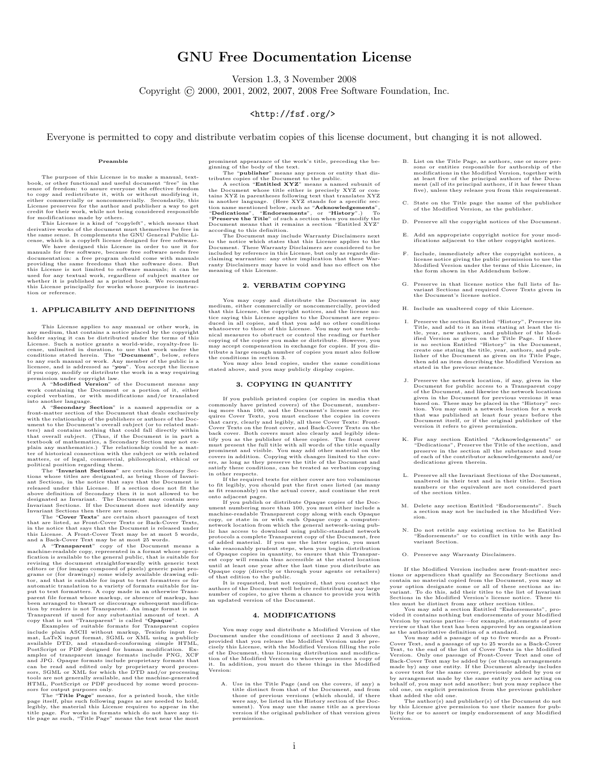## GNU Free Documentation License

Version 1.3, 3 November 2008

Copyright © 2000, 2001, 2002, 2007, 2008 Free Software Foundation, Inc.

### <http://fsf.org/>

<span id="page-32-0"></span>Everyone is permitted to copy and distribute verbatim copies of this license document, but changing it is not allowed.

#### Preamble

The purpose of this License is to make a manual, text-book, or other functional and useful document "free" in the sense of freedom: to assure everyone the effective freedom to copy and redistribute it, with or without modifying it, either commercially or noncommercially. Secondarily, this License preserves for the author and publisher a way to get credit for their work, while not being considered responsible

for modifications made by others. This License is a kind of "copyleft", which means that derivative works of the document must themselves be free in the same sense. It complements the GNU General Public Li-cense, which is a copyleft license designed for free software.

We have designed this License in order to use it for<br>manuals for free software, because free software needs free<br>documentation: a free program should come with manuals<br>providing the same freedoms that the software dose. Bu used for any textual work, regardless of subject matter or whether it is published as a printed book. We recommend this License principally for works whose purpose is instruction or reference.

#### 1. APPLICABILITY AND DEFINITIONS

This License applies to any manual or other work, in medium, that contains a notice placed by the copyright holder saying it can be distributed under the terms of this License. Such a notice grants a world-wide, royalty-free linear<br>cense, unlimited in duration, to use that work under the<br>conditions stated herein. The "**Document**", below, refers<br>to any such manual or work. Any member of

A "Modified Version" of the Document means work containing the Document or a portion of it, either copied verbatim, or with modifications and/or translated into another language.

A "Secondary Section" is a named appendix or a front-matter section of the Document that deals exclusively with the relationship of the publishers or authors of the Document to the Document's overall subject (or to related matters) and contains nothing that could fall directly within<br>that overall subject. (Thus, if the Document is in part a<br>textbook of mathematics, a Secondary Section ma

The "Invariant Sections" are certain Secondary Sections whose titles are designated, as being those of Invariant Sections, in the notice that says that the Document is above definition of Secondary then it is not allowed t

The "Cover Texts" are cretain short passages of text<br>that are listed, as Front-Cover Texts or Back-Cover Texts,<br>in the notice that says that the Document is released under<br>this License. A Front-Cover Text may be at most 5 been arranged to thwart or discourage subsequent modification by readers is not Transparent. An image format is not Transparent if used for any substantial amount of text. A copy that is not "Transparent" is called "**Opaqu** 

Examples of suitable formats for Transparent copies<br>include plain ASCII without markup, Texinfo input format, LaTeX input format, SGML or XML using a publicly<br>mat, LaTeX input format, SGML or XML using a publicly<br>PostScri

prominent appearance of the work's title, preceding the be-<br>gimming of the boody of the text. The "publisher" means any person or entity that dis-<br>tributes copies of the Document to the public.<br>A section "Entitled XYZ" me

Document. These Warranty Disclaimers are considered to be included by reference in this License, but only as regards dis-claiming warranties: any other implication that these Warranty Disclaimers may have is void and has no effect on the meaning of this License.

#### 2. VERBATIM COPYING

You may copy and distribute the Document in any<br>medium, either commercially or noncommercially, provided<br>that this License, the copyright notices, and the license no-<br>tice saying this License applies to the Document are re

stated above, and you may publicly display copies.

#### 3. COPYING IN QUANTITY

If you publish printed copies (or copies in media that<br>commonly have printed covers) of the Document, number-<br>ing more than 100, and the Document's license notice re-<br>quires Cover Texts, you must enclose the copies in cove

in other respects. If the required texts for either cover are too voluminous

to fit legibly, you should put the first ones listed (as many<br>as fit reasonably) on the actual cover, and continue the rest<br>onto adjacent pages.<br>If you publish or distribute Opaque copies of the Doc-<br>numer numbering more t lic has access to download using public-standard network<br>protocols a complete Transparent copy of the Document, free<br>of added material. If you use the latter option, you must<br>take reasonably prudent steps, when you begin d of Opaque copies in quantity, to ensure that this Transpar-<br>ent copy will remain thus accessible at the stated location<br>until at least one year after the last time you distribute an<br>Opaque copy (directly or through your ag

of that edition to the public.<br>It is requested, but not required, that you contact the<br>authors of the Document well before redistributing any large<br>number of copies, to give them a chance to provide you with<br>an updated ver

#### 4. MODIFICATIONS

You may copy and distribute a Modified Version of the Document under the conditions of sections 2 and 3 above, provided that you release the Modified Version under pre-cisely this License, with the Modified Version filling the role of the Document, thus licensing distribution and modifica-tion of the Modified Version to whoever possesses a copy of it. In addition, you must do these things in the Modified it. In a<br>Version

A. Use in the Title Page (and on the covers, if any) a<br>title distinct from that of the Document, and from<br>those of previous versions (which should, if there<br>were any, be listed in the History section of the Doc-<br>ument). Yo permission.

- B. List on the Title Page, as authors, one or more persons or entities responsible for authorship of the modifications in the Modified Version, together with at least five of the principal authors of the Document (all of its principal authors, if it has fewer than five), unless they release you from this requirement.
- C. State on the Title page the name of the publisher of the Modified Version, as the publisher.
- D. Preserve all the copyright notices of the Document.
- E. Add an appropriate copyright notice for your mod-ifications adjacent to the other copyright notices.
- F. Include, immediately after the copyright notices, a license notice giving the public permission to use the Modified Version under the terms of this License, in the form shown in the Addendum below.
- G. Preserve in that license notice the full lists of Invariant Sections and required Cover Texts given in the Document's license notice.
- H. Include an unaltered copy of this License.
- I. Preserve the section Entitled "History", Preserve its<br>Title, and add to it an item stating at least the ti-<br>tle, year, new authors, and publisher of the Mod-<br>ified Version as given on the Title Page. If there<br>is no sect then add an item describing the Modified Version as stated in the previous sentence.
- J. Preserve the network location, if any, given in the Document for public access to a Transparent copy of the Document, and likewise the network locations given in the Document for previous versions it was based on. These may be placed in the "History" section. You may omit a network location for a work that was published at least four years before the Document itself, or if the original publisher of the version it refers to gives permission.
- K. For any section Entitled "Acknowledgements" or "Dedications", Preserve in the section, and preserve in the section all the substance and tone of each of the contributor acknowledgements and/or dedications given therein.
- L. Preserve all the Invariant Sections of the Document, unaltered in their text and in their titles. Section numbers or the equivalent are not considered part of the section titles.
- M. Delete any section Entitled "Endorsements". Such a section may not be included in the Modified Ver-sion.
- N. Do not retitle any existing section to be Entitled "Endorsements" or to conflict in title with any Invariant Section.
- O. Preserve any Warranty Disclaimers.

If the Modified Version includes new front-matter sections or appendices that qualify as Secondary Sections and contain no material copied from the Document, you may at your option designate some or all of these sections as invariant. To do this, add their titles to the list of Invariant Sections in the Modified Version's license noite. These titles must be distinct from any other section titles. You may add a section Entitled "Endorsements", p

vided it contains nothing but endorsements of your Modified<br>Version by various parties—for example, statements of peer<br>review or that the text has been approved by an organization<br>as the authoritative definition of a stand

You may add a passage of up to five words as a Front-Cover Text, and a passage of up to 25 words as a Back-Cover Text, to the end of the list of Cover Texts in the Modified Version. Only one passage of Front-Cover Text and a cover text for the same cover, previously added by you or by arrangement made by the same entity you are acting on behalf of, you may not add another; but you may replace the old one, on explicit permission from the previous publisher that added the old one.

The author(s) and publisher(s) of the Document do not by this License give permission to use their names for pub-licity for or to assert or imply endorsement of any Modified Version.